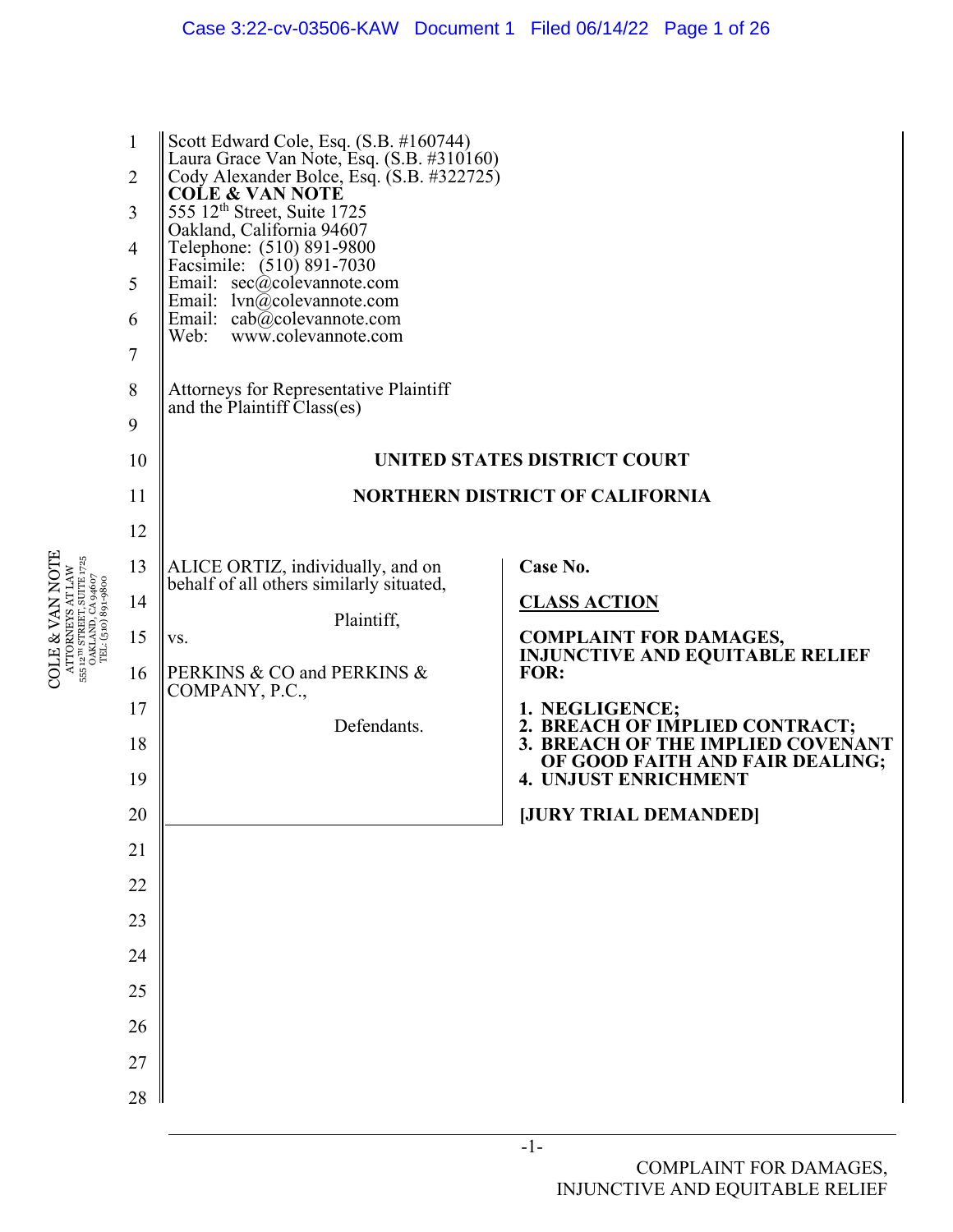| $\mathbf{1}$<br>$\overline{2}$<br>3<br>$\overline{4}$<br>5<br>6<br>7<br>8<br>9<br>10<br>11<br>12 | Scott Edward Cole, Esq. (S.B. #160744)<br>Laura Grace Van Note, Esq. (S.B. #310160)<br>Cody Alexander Bolce, Esq. (S.B. #322725)<br><b>COLE &amp; VAN NOTE</b><br>555 12 <sup>th</sup> Street, Suite 1725<br>Oakland, California 94607<br>Telephone: (510) 891-9800<br>Facsimile: (510) 891-7030<br>Email: $sec(\hat{a})$ colevannote.com<br>Email: $lvn@colevannote.com$<br>Email: $cab@colevannote.com$<br>Web: www.colevannote.com<br>Attorneys for Representative Plaintiff<br>and the Plaintiff Class(es) | <b>UNITED STATES DISTRICT COURT</b><br><b>NORTHERN DISTRICT OF CALIFORNIA</b>                                                                                                                                                                                                                               |
|--------------------------------------------------------------------------------------------------|----------------------------------------------------------------------------------------------------------------------------------------------------------------------------------------------------------------------------------------------------------------------------------------------------------------------------------------------------------------------------------------------------------------------------------------------------------------------------------------------------------------|-------------------------------------------------------------------------------------------------------------------------------------------------------------------------------------------------------------------------------------------------------------------------------------------------------------|
| 13<br>14<br>15<br>16<br>17<br>18<br>19<br>20<br>$21\,$<br>22<br>23<br>24<br>25<br>26<br>27<br>28 | ALICE ORTIZ, individually, and on<br>behalf of all others similarly situated,<br>Plaintiff,<br>VS.<br>PERKINS & CO and PERKINS &<br>COMPANY, P.C.,<br>Defendants.                                                                                                                                                                                                                                                                                                                                              | Case No.<br><b>CLASS ACTION</b><br><b>COMPLAINT FOR DAMAGES,</b><br><b>INJUNCTIVE AND EQUITABLE RELIEF</b><br>FOR:<br>1. NEGLIGENCE;<br>2. BREACH OF IMPLIED CONTRACT;<br>3. BREACH OF THE IMPLIED COVENANT<br>OF GOOD FAITH AND FAIR DEALING;<br><b>4. UNJUST ENRICHMENT</b><br><b>JURY TRIAL DEMANDED</b> |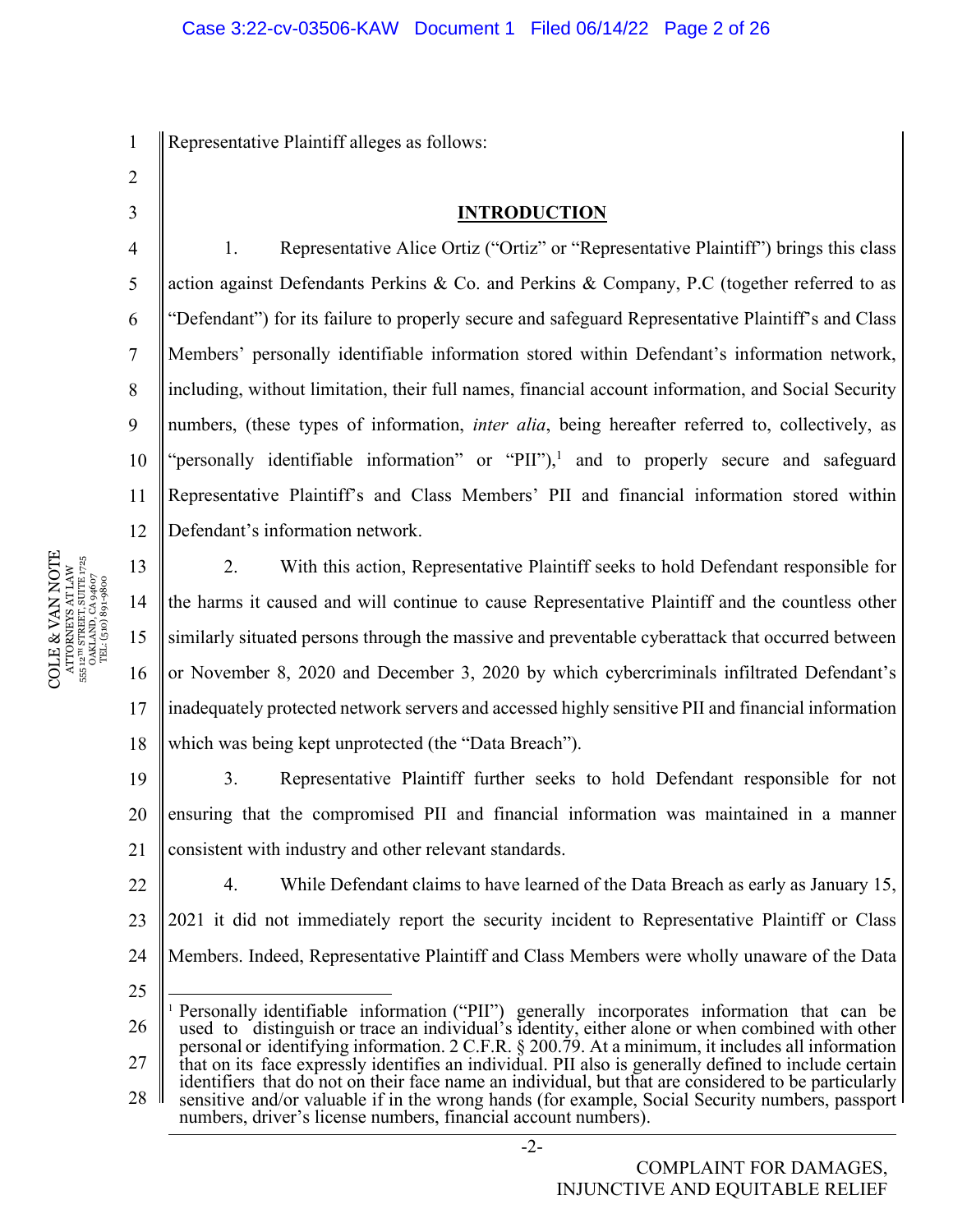1 Representative Plaintiff alleges as follows:

- 2
- 3

4

5

6

7

8

9

## **INTRODUCTION**

10 11 12 1. Representative Alice Ortiz ("Ortiz" or "Representative Plaintiff") brings this class action against Defendants Perkins & Co. and Perkins & Company, P.C (together referred to as "Defendant") for its failure to properly secure and safeguard Representative Plaintiff's and Class Members' personally identifiable information stored within Defendant's information network, including, without limitation, their full names, financial account information, and Social Security numbers, (these types of information, *inter alia*, being hereafter referred to, collectively, as "personally identifiable information" or "PII"),<sup>1</sup> and to properly secure and safeguard Representative Plaintiff's and Class Members' PII and financial information stored within Defendant's information network.

13 14 15 16 17 18 2. With this action, Representative Plaintiff seeks to hold Defendant responsible for the harms it caused and will continue to cause Representative Plaintiff and the countless other similarly situated persons through the massive and preventable cyberattack that occurred between or November 8, 2020 and December 3, 2020 by which cybercriminals infiltrated Defendant's inadequately protected network servers and accessed highly sensitive PII and financial information which was being kept unprotected (the "Data Breach").

19 20 21 3. Representative Plaintiff further seeks to hold Defendant responsible for not ensuring that the compromised PII and financial information was maintained in a manner consistent with industry and other relevant standards.

22 23 24 4. While Defendant claims to have learned of the Data Breach as early as January 15, 2021 it did not immediately report the security incident to Representative Plaintiff or Class Members. Indeed, Representative Plaintiff and Class Members were wholly unaware of the Data

- 25
- 26 27 28 <sup>1</sup> Personally identifiable information ("PII") generally incorporates information that can be used to distinguish or trace an individual's identity, either alone or when combined with other personal or identifying information. 2 C.F.R. § 200.79. At a minimum, it includes all information that on its face expressly identifies an individual. PII also is generally defined to include certain identifiers that do not on their face name an individual, but that are considered to be particularly sensitive and/or valuable if in the wrong hands (for example, Social Security numbers, passport numbers, driver's license numbers, financial account numbers).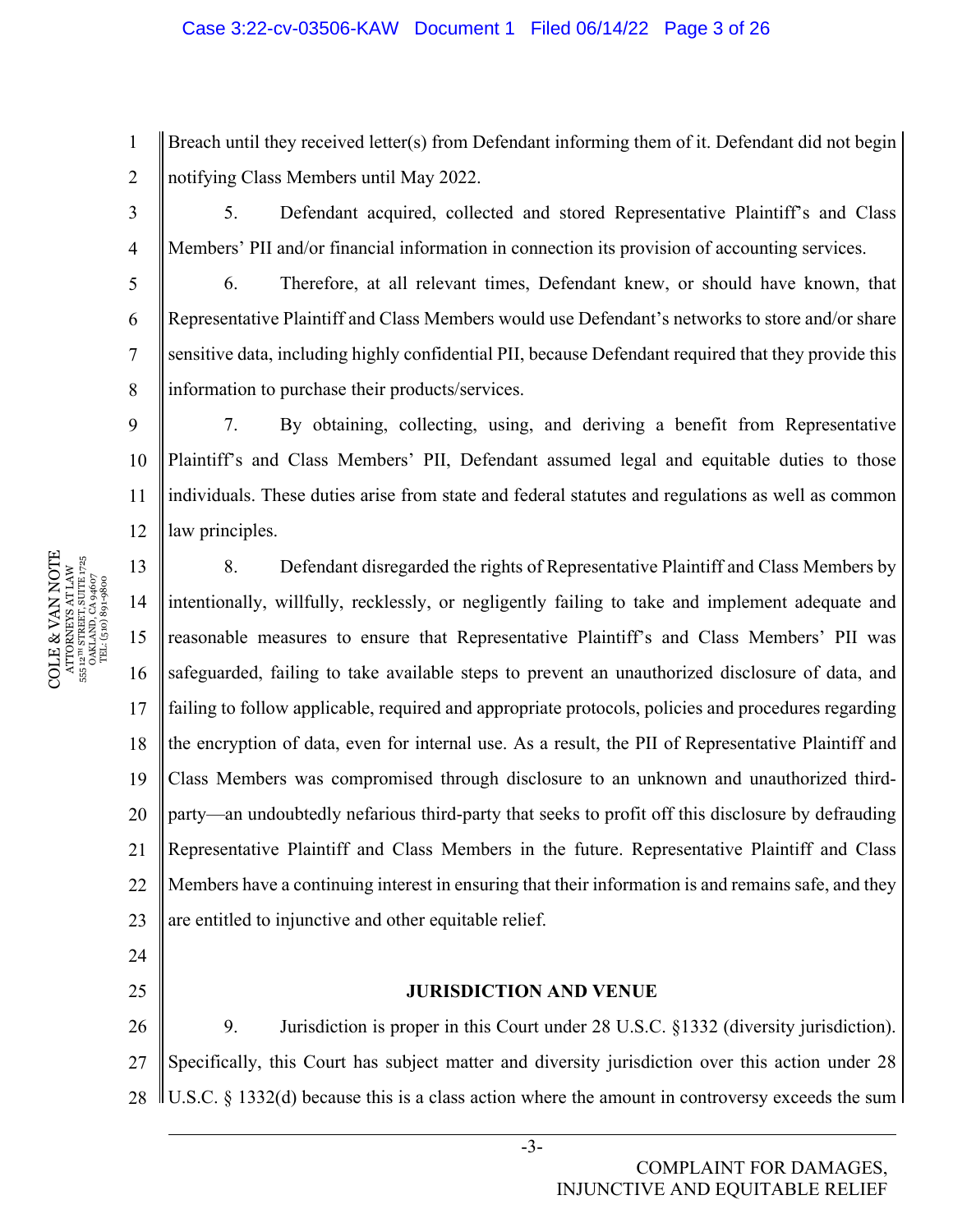## Case 3:22-cv-03506-KAW Document 1 Filed 06/14/22 Page 3 of 26

1 2 Breach until they received letter(s) from Defendant informing them of it. Defendant did not begin notifying Class Members until May 2022.

3

4

5

6

7

8

9

24

25

5. Defendant acquired, collected and stored Representative Plaintiff's and Class Members' PII and/or financial information in connection its provision of accounting services.

6. Therefore, at all relevant times, Defendant knew, or should have known, that Representative Plaintiff and Class Members would use Defendant's networks to store and/or share sensitive data, including highly confidential PII, because Defendant required that they provide this information to purchase their products/services.

10 11 12 7. By obtaining, collecting, using, and deriving a benefit from Representative Plaintiff's and Class Members' PII, Defendant assumed legal and equitable duties to those individuals. These duties arise from state and federal statutes and regulations as well as common law principles.

13 14 15 16 17 18 19 20 21 22 23 8. Defendant disregarded the rights of Representative Plaintiff and Class Members by intentionally, willfully, recklessly, or negligently failing to take and implement adequate and reasonable measures to ensure that Representative Plaintiff's and Class Members' PII was safeguarded, failing to take available steps to prevent an unauthorized disclosure of data, and failing to follow applicable, required and appropriate protocols, policies and procedures regarding the encryption of data, even for internal use. As a result, the PII of Representative Plaintiff and Class Members was compromised through disclosure to an unknown and unauthorized thirdparty—an undoubtedly nefarious third-party that seeks to profit off this disclosure by defrauding Representative Plaintiff and Class Members in the future. Representative Plaintiff and Class Members have a continuing interest in ensuring that their information is and remains safe, and they are entitled to injunctive and other equitable relief.

## **JURISDICTION AND VENUE**

26 27 28 9. Jurisdiction is proper in this Court under 28 U.S.C. §1332 (diversity jurisdiction). Specifically, this Court has subject matter and diversity jurisdiction over this action under 28  $\parallel$  U.S.C. § 1332(d) because this is a class action where the amount in controversy exceeds the sum  $\parallel$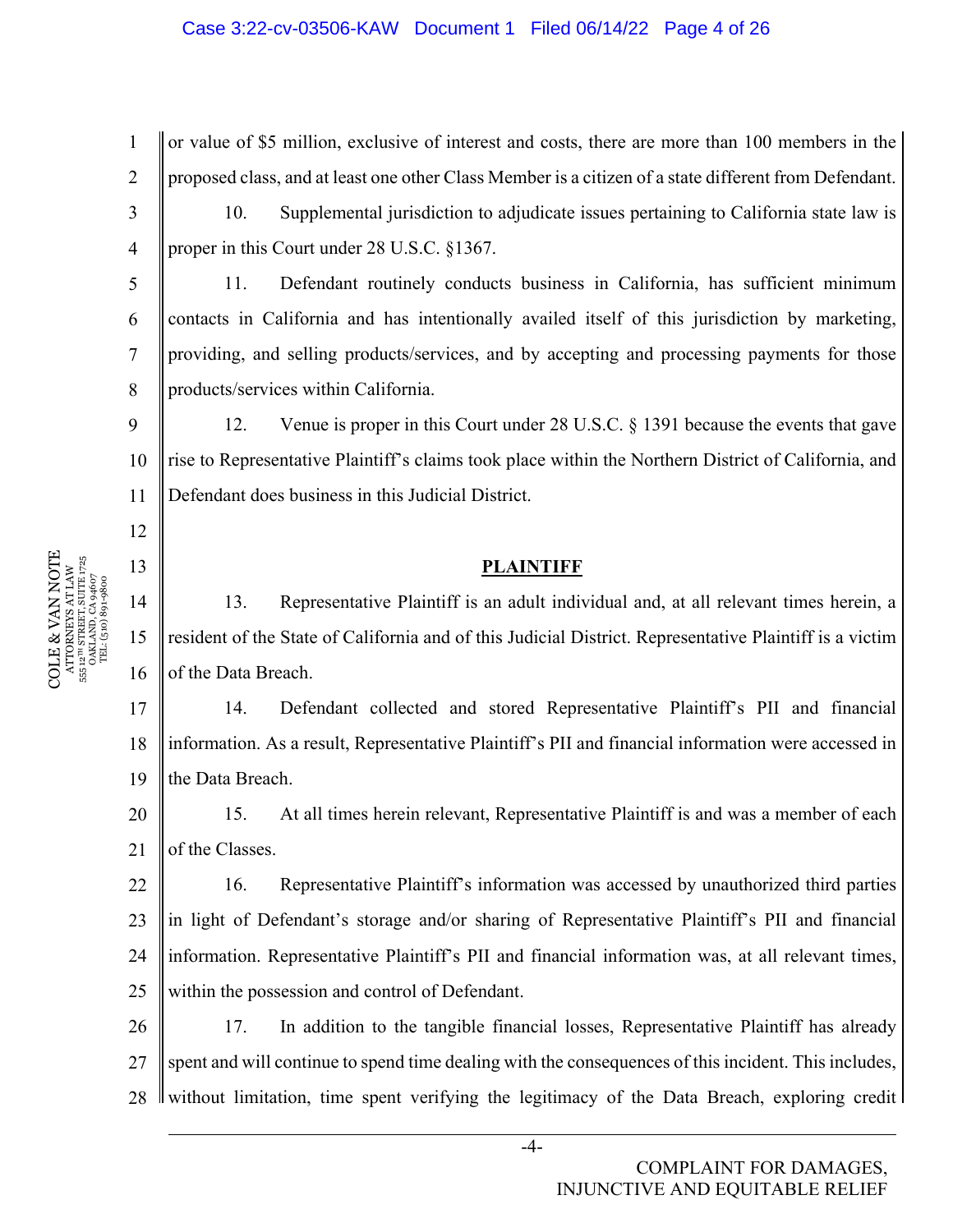## Case 3:22-cv-03506-KAW Document 1 Filed 06/14/22 Page 4 of 26

1 2 3 4 or value of \$5 million, exclusive of interest and costs, there are more than 100 members in the proposed class, and at least one other Class Member is a citizen of a state different from Defendant. 10. Supplemental jurisdiction to adjudicate issues pertaining to California state law is proper in this Court under 28 U.S.C. §1367.

11. Defendant routinely conducts business in California, has sufficient minimum contacts in California and has intentionally availed itself of this jurisdiction by marketing, providing, and selling products/services, and by accepting and processing payments for those products/services within California.

10 11 12. Venue is proper in this Court under 28 U.S.C. § 1391 because the events that gave rise to Representative Plaintiff's claims took place within the Northern District of California, and Defendant does business in this Judicial District.

#### **PLAINTIFF**

14 15 16 13. Representative Plaintiff is an adult individual and, at all relevant times herein, a resident of the State of California and of this Judicial District. Representative Plaintiff is a victim of the Data Breach.

17 18 19 14. Defendant collected and stored Representative Plaintiff's PII and financial information. As a result, Representative Plaintiff's PII and financial information were accessed in the Data Breach.

20 21 15. At all times herein relevant, Representative Plaintiff is and was a member of each of the Classes.

22 23 24 25 16. Representative Plaintiff's information was accessed by unauthorized third parties in light of Defendant's storage and/or sharing of Representative Plaintiff's PII and financial information. Representative Plaintiff's PII and financial information was, at all relevant times, within the possession and control of Defendant.

26 27 28 17. In addition to the tangible financial losses, Representative Plaintiff has already spent and will continue to spend time dealing with the consequences of this incident. This includes, I without limitation, time spent verifying the legitimacy of the Data Breach, exploring credit

5

6

7

8

9

12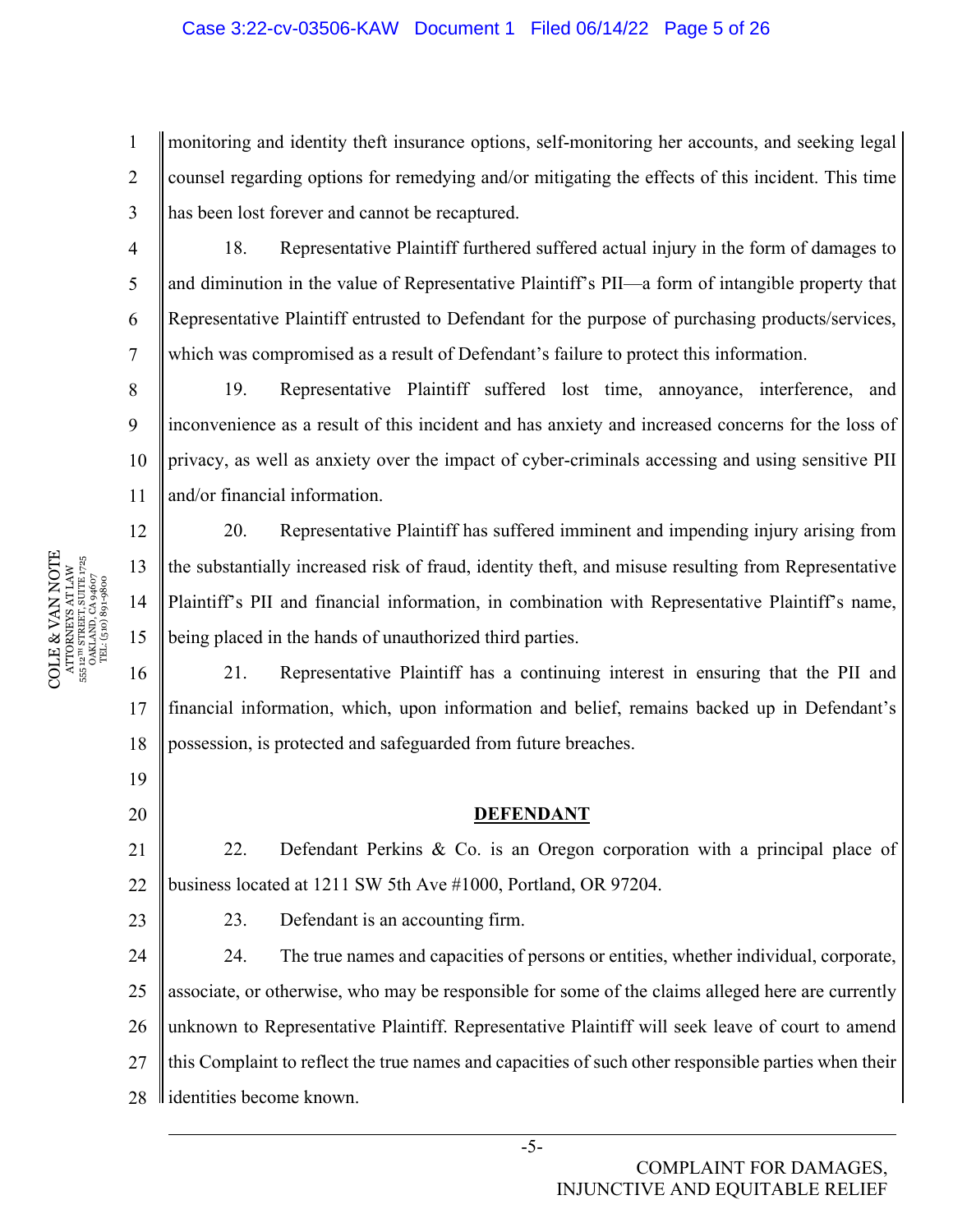## Case 3:22-cv-03506-KAW Document 1 Filed 06/14/22 Page 5 of 26

1 2 3 monitoring and identity theft insurance options, self-monitoring her accounts, and seeking legal counsel regarding options for remedying and/or mitigating the effects of this incident. This time has been lost forever and cannot be recaptured.

18. Representative Plaintiff furthered suffered actual injury in the form of damages to and diminution in the value of Representative Plaintiff's PII—a form of intangible property that Representative Plaintiff entrusted to Defendant for the purpose of purchasing products/services, which was compromised as a result of Defendant's failure to protect this information.

8 9 10 11 19. Representative Plaintiff suffered lost time, annoyance, interference, and inconvenience as a result of this incident and has anxiety and increased concerns for the loss of privacy, as well as anxiety over the impact of cyber-criminals accessing and using sensitive PII and/or financial information.

20. Representative Plaintiff has suffered imminent and impending injury arising from the substantially increased risk of fraud, identity theft, and misuse resulting from Representative Plaintiff's PII and financial information, in combination with Representative Plaintiff's name, being placed in the hands of unauthorized third parties.

16 17 18 21. Representative Plaintiff has a continuing interest in ensuring that the PII and financial information, which, upon information and belief, remains backed up in Defendant's possession, is protected and safeguarded from future breaches.

#### **DEFENDANT**

21 22 22. Defendant Perkins & Co. is an Oregon corporation with a principal place of business located at 1211 SW 5th Ave #1000, Portland, OR 97204.

23. Defendant is an accounting firm.

24 25 26 27 28 24. The true names and capacities of persons or entities, whether individual, corporate, associate, or otherwise, who may be responsible for some of the claims alleged here are currently unknown to Representative Plaintiff. Representative Plaintiff will seek leave of court to amend this Complaint to reflect the true names and capacities of such other responsible parties when their ll identities become known.

4

5

6

7

12

13

14

15

19

20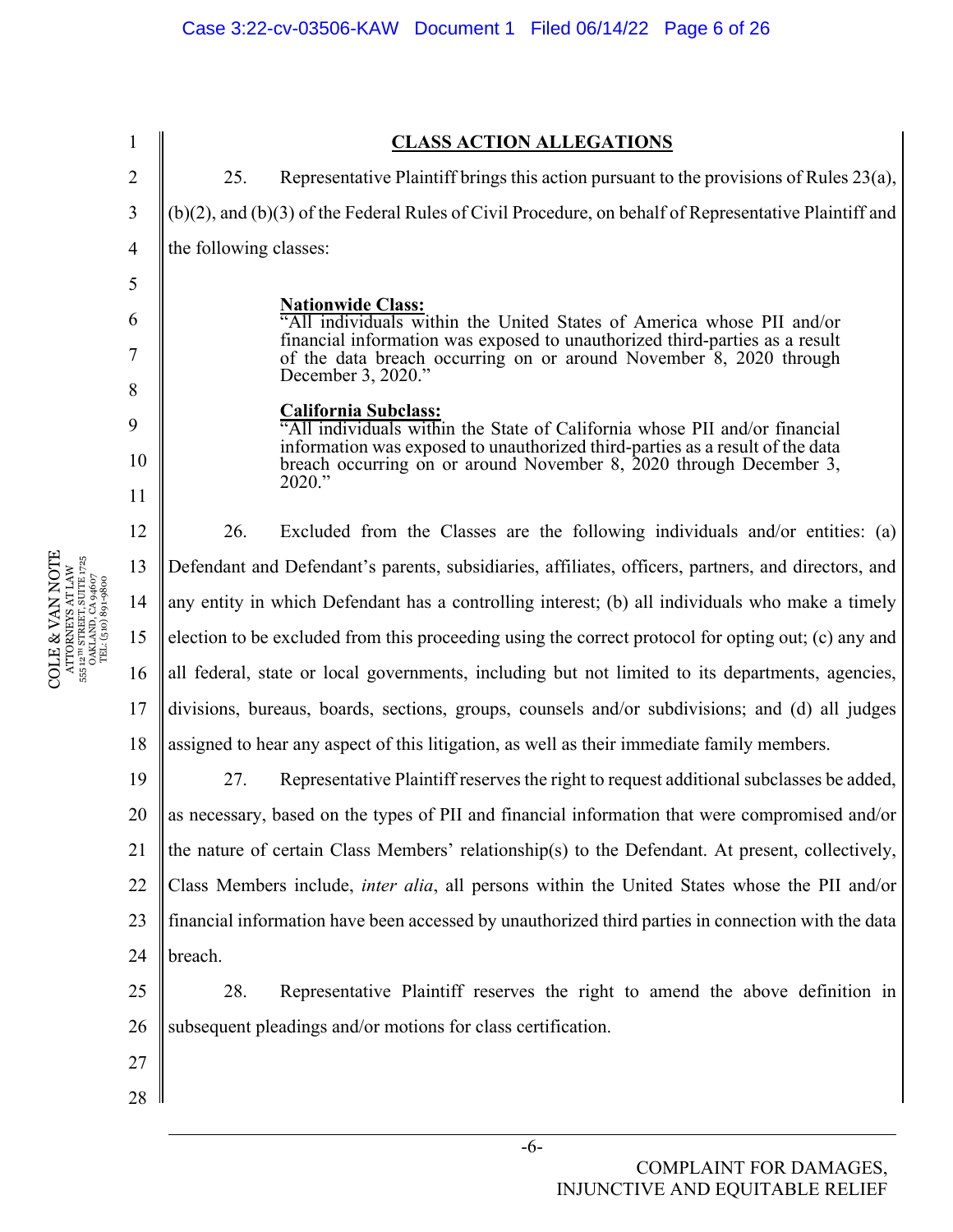1 2 3 4 5 6 7 8 9 10 11 12 13 14 15 16 17 18 19 20 21 22 23 24 25 26 27 28 **CLASS ACTION ALLEGATIONS**  25. Representative Plaintiff brings this action pursuant to the provisions of Rules 23(a), (b)(2), and (b)(3) of the Federal Rules of Civil Procedure, on behalf of Representative Plaintiff and the following classes: **Nationwide Class:**  "All individuals within the United States of America whose PII and/or financial information was exposed to unauthorized third-parties as a result of the data breach occurring on or around November 8, 2020 through December 3, 2020." **California Subclass:**  "All individuals within the State of California whose PII and/or financial information was exposed to unauthorized third-parties as a result of the data breach occurring on or around November 8, 2020 through December 3, 2020." 26. Excluded from the Classes are the following individuals and/or entities: (a) Defendant and Defendant's parents, subsidiaries, affiliates, officers, partners, and directors, and any entity in which Defendant has a controlling interest; (b) all individuals who make a timely election to be excluded from this proceeding using the correct protocol for opting out; (c) any and all federal, state or local governments, including but not limited to its departments, agencies, divisions, bureaus, boards, sections, groups, counsels and/or subdivisions; and (d) all judges assigned to hear any aspect of this litigation, as well as their immediate family members. 27. Representative Plaintiff reserves the right to request additional subclasses be added, as necessary, based on the types of PII and financial information that were compromised and/or the nature of certain Class Members' relationship(s) to the Defendant. At present, collectively, Class Members include, *inter alia*, all persons within the United States whose the PII and/or financial information have been accessed by unauthorized third parties in connection with the data breach. 28. Representative Plaintiff reserves the right to amend the above definition in subsequent pleadings and/or motions for class certification.

COLE & VAN NOTE  $\begin{array}{c} {\rm ATTORNESS~AT} \text{ LAW} \\ 555 \text{~12}^{\rm in} \text{ STERET, SUTL} \text{ LAW} \\ {\rm OAKLAND, CA} \text{ 946} \sigma \\ {\rm TEL: (510)} \text{ 891-9800} \end{array}$ COLE & VAN NOTE 555 12TH STREET, SUITE 1725 ATTORNEYS AT LAW OAKLAND, CA 94607 TEL: (510) 891-9800 555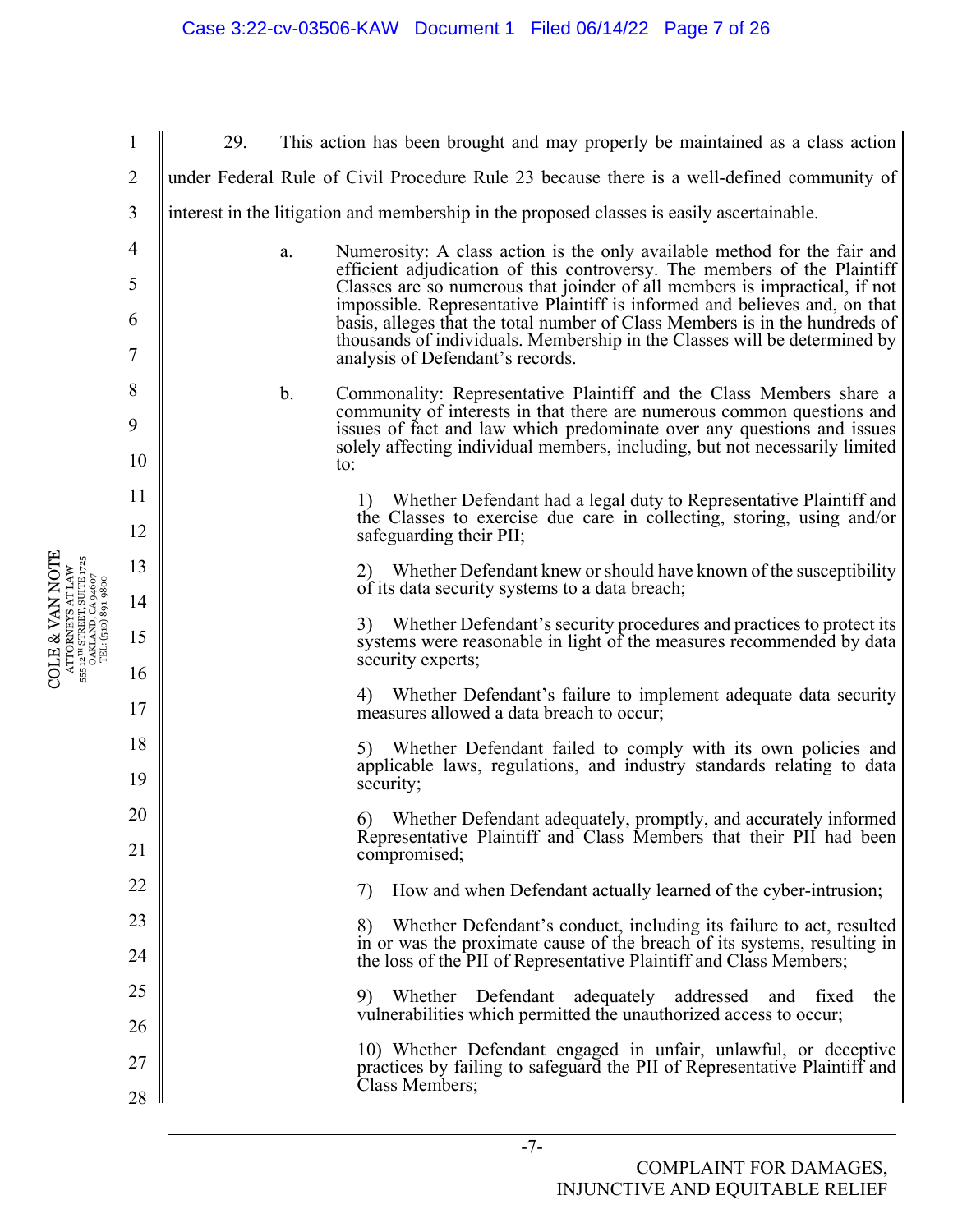|                                                                                                                                                                                                                          | $\mathbf{1}$   | 29. |                | This action has been brought and may properly be maintained as a class action                                                                                                                                                                                                                                                                                                                                                                                                                                    |
|--------------------------------------------------------------------------------------------------------------------------------------------------------------------------------------------------------------------------|----------------|-----|----------------|------------------------------------------------------------------------------------------------------------------------------------------------------------------------------------------------------------------------------------------------------------------------------------------------------------------------------------------------------------------------------------------------------------------------------------------------------------------------------------------------------------------|
|                                                                                                                                                                                                                          | $\overline{2}$ |     |                | under Federal Rule of Civil Procedure Rule 23 because there is a well-defined community of                                                                                                                                                                                                                                                                                                                                                                                                                       |
|                                                                                                                                                                                                                          | 3              |     |                | interest in the litigation and membership in the proposed classes is easily ascertainable.                                                                                                                                                                                                                                                                                                                                                                                                                       |
|                                                                                                                                                                                                                          | 4              |     | a.             | Numerosity: A class action is the only available method for the fair and<br>efficient adjudication of this controversy. The members of the Plaintiff<br>Classes are so numerous that joinder of all members is impractical, if not<br>impossible. Representative Plaintiff is informed and believes and, on that<br>basis, alleges that the total number of Class Members is in the hundreds of<br>thousands of individuals. Membership in the Classes will be determined by<br>analysis of Defendant's records. |
|                                                                                                                                                                                                                          | 5              |     |                |                                                                                                                                                                                                                                                                                                                                                                                                                                                                                                                  |
|                                                                                                                                                                                                                          | 6              |     |                |                                                                                                                                                                                                                                                                                                                                                                                                                                                                                                                  |
|                                                                                                                                                                                                                          | 7              |     |                |                                                                                                                                                                                                                                                                                                                                                                                                                                                                                                                  |
|                                                                                                                                                                                                                          | 8              |     | $\mathbf{b}$ . | Commonality: Representative Plaintiff and the Class Members share a<br>community of interests in that there are numerous common questions and<br>issues of fact and law which predominate over any questions and issues<br>solely affecting individual members, including, but not necessarily limited<br>to:                                                                                                                                                                                                    |
|                                                                                                                                                                                                                          | 9<br>10        |     |                |                                                                                                                                                                                                                                                                                                                                                                                                                                                                                                                  |
|                                                                                                                                                                                                                          | 11             |     |                | 1) Whether Defendant had a legal duty to Representative Plaintiff and<br>the Classes to exercise due care in collecting, storing, using and/or<br>safeguarding their PII;                                                                                                                                                                                                                                                                                                                                        |
|                                                                                                                                                                                                                          | 12             |     |                |                                                                                                                                                                                                                                                                                                                                                                                                                                                                                                                  |
|                                                                                                                                                                                                                          | 13             |     |                | 2) Whether Defendant knew or should have known of the susceptibility                                                                                                                                                                                                                                                                                                                                                                                                                                             |
|                                                                                                                                                                                                                          | 14             |     |                | of its data security systems to a data breach;                                                                                                                                                                                                                                                                                                                                                                                                                                                                   |
| <b>COLE &amp; VAN NOTE</b><br>$\begin{array}{c} \text{ATTORNEXS AT LAW} \\ \text{555 } 12^{\text{th}} \text{ STREJT}, \text{SUTE } 1725 \\ \text{OAKLAND, CA } 94607 \\ \text{TEL: (510) } 891\text{--}9800 \end{array}$ | 15             |     |                | 3) Whether Defendant's security procedures and practices to protect its<br>systems were reasonable in light of the measures recommended by data<br>security experts;                                                                                                                                                                                                                                                                                                                                             |
|                                                                                                                                                                                                                          | 16<br>17       |     |                | Whether Defendant's failure to implement adequate data security<br>measures allowed a data breach to occur;                                                                                                                                                                                                                                                                                                                                                                                                      |
|                                                                                                                                                                                                                          | 18             |     |                | Whether Defendant failed to comply with its own policies and<br>5)                                                                                                                                                                                                                                                                                                                                                                                                                                               |
|                                                                                                                                                                                                                          | 19             |     |                | applicable laws, regulations, and industry standards relating to data<br>security;                                                                                                                                                                                                                                                                                                                                                                                                                               |
|                                                                                                                                                                                                                          | 20             |     |                | 6) Whether Defendant adequately, promptly, and accurately informed<br>Representative Plaintiff and Class Members that their PII had been                                                                                                                                                                                                                                                                                                                                                                         |
|                                                                                                                                                                                                                          | 21             |     |                | compromised;                                                                                                                                                                                                                                                                                                                                                                                                                                                                                                     |
|                                                                                                                                                                                                                          | 22             |     |                | How and when Defendant actually learned of the cyber-intrusion;<br>7)                                                                                                                                                                                                                                                                                                                                                                                                                                            |
|                                                                                                                                                                                                                          | 23             |     |                | Whether Defendant's conduct, including its failure to act, resulted<br>8)<br>in or was the proximate cause of the breach of its systems, resulting in                                                                                                                                                                                                                                                                                                                                                            |
|                                                                                                                                                                                                                          | 24             |     |                | the loss of the PII of Representative Plaintiff and Class Members;                                                                                                                                                                                                                                                                                                                                                                                                                                               |
|                                                                                                                                                                                                                          | 25<br>26       |     |                | 9) Whether Defendant adequately addressed and fixed<br>the<br>vulnerabilities which permitted the unauthorized access to occur;                                                                                                                                                                                                                                                                                                                                                                                  |
|                                                                                                                                                                                                                          | 27             |     |                | 10) Whether Defendant engaged in unfair, unlawful, or deceptive<br>practices by failing to safeguard the PII of Representative Plaintiff and                                                                                                                                                                                                                                                                                                                                                                     |
|                                                                                                                                                                                                                          | 28             |     |                | Class Members;                                                                                                                                                                                                                                                                                                                                                                                                                                                                                                   |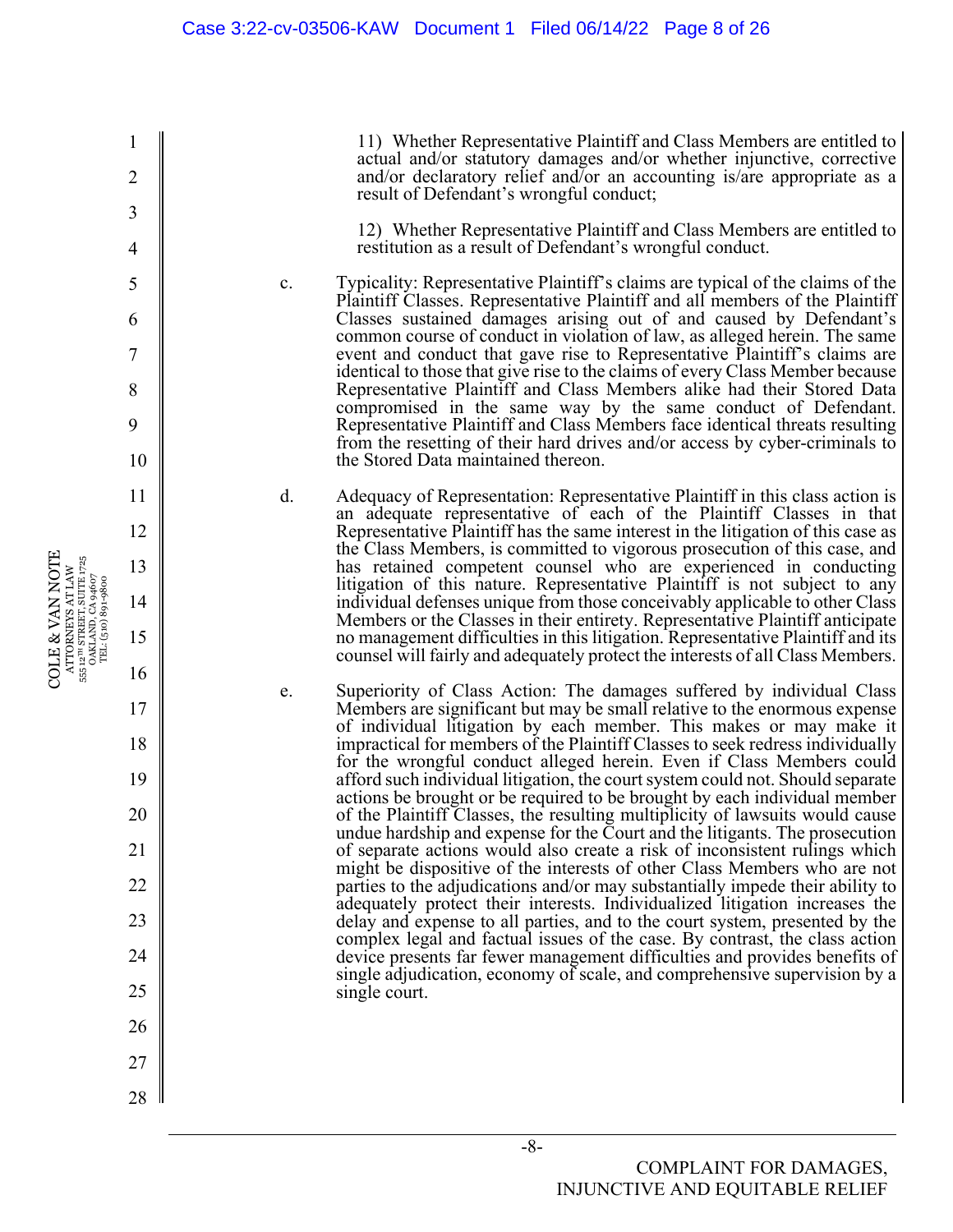11) Whether Representative Plaintiff and Class Members are entitled to actual and/or statutory damages and/or whether injunctive, corrective and/or declaratory relief and/or an accounting is/are appropriate as a result of Defendant's wrongful conduct;

12) Whether Representative Plaintiff and Class Members are entitled to restitution as a result of Defendant's wrongful conduct.

c. Typicality: Representative Plaintiff's claims are typical of the claims of the Plaintiff Classes. Representative Plaintiff and all members of the Plaintiff Classes sustained damages arising out of and caused by Defendant's common course of conduct in violation of law, as alleged herein. The same event and conduct that gave rise to Representative Plaintiff's claims are identical to those that give rise to the claims of every Class Member because Representative Plaintiff and Class Members alike had their Stored Data compromised in the same way by the same conduct of Defendant. Representative Plaintiff and Class Members face identical threats resulting from the resetting of their hard drives and/or access by cyber-criminals to the Stored Data maintained thereon.

d. Adequacy of Representation: Representative Plaintiff in this class action is an adequate representative of each of the Plaintiff Classes in that Representative Plaintiff has the same interest in the litigation of this case as the Class Members, is committed to vigorous prosecution of this case, and has retained competent counsel who are experienced in conducting litigation of this nature. Representative Plaintiff is not subject to any individual defenses unique from those conceivably applicable to other Class Members or the Classes in their entirety. Representative Plaintiff anticipate no management difficulties in this litigation. Representative Plaintiff and its counsel will fairly and adequately protect the interests of all Class Members.

e. Superiority of Class Action: The damages suffered by individual Class Members are significant but may be small relative to the enormous expense of individual litigation by each member. This makes or may make it impractical for members of the Plaintiff Classes to seek redress individually for the wrongful conduct alleged herein. Even if Class Members could afford such individual litigation, the court system could not. Should separate actions be brought or be required to be brought by each individual member of the Plaintiff Classes, the resulting multiplicity of lawsuits would cause undue hardship and expense for the Court and the litigants. The prosecution of separate actions would also create a risk of inconsistent rulings which might be dispositive of the interests of other Class Members who are not parties to the adjudications and/or may substantially impede their ability to adequately protect their interests. Individualized litigation increases the delay and expense to all parties, and to the court system, presented by the complex legal and factual issues of the case. By contrast, the class action device presents far fewer management difficulties and provides benefits of single adjudication, economy of scale, and comprehensive supervision by a single court.

COLE & VAN NOTE  $\begin{array}{c} {\rm ATTORNEYS} \; {\rm AT}\; {\rm LAW} \\ 555\;12^{718}\;{\rm STREFT}, {\rm SUTE}\;1725 \\ {\rm OAKLAND}, {\rm CA}\;94607 \\ {\rm TEL}; \, (510)\;891\text{--}9800 \end{array}$ COLE & VAN NOTE 555 12TH STREET, SUITE 1725 ATTORNEYS AT LAW OAKLAND, CA 94607 TEL: (510) 891-9800

1

2

3

4

5

6

7

8

9

10

11

12

13

14

15

16

17

18

19

20

21

22

23

24

25

26

27

28

-8-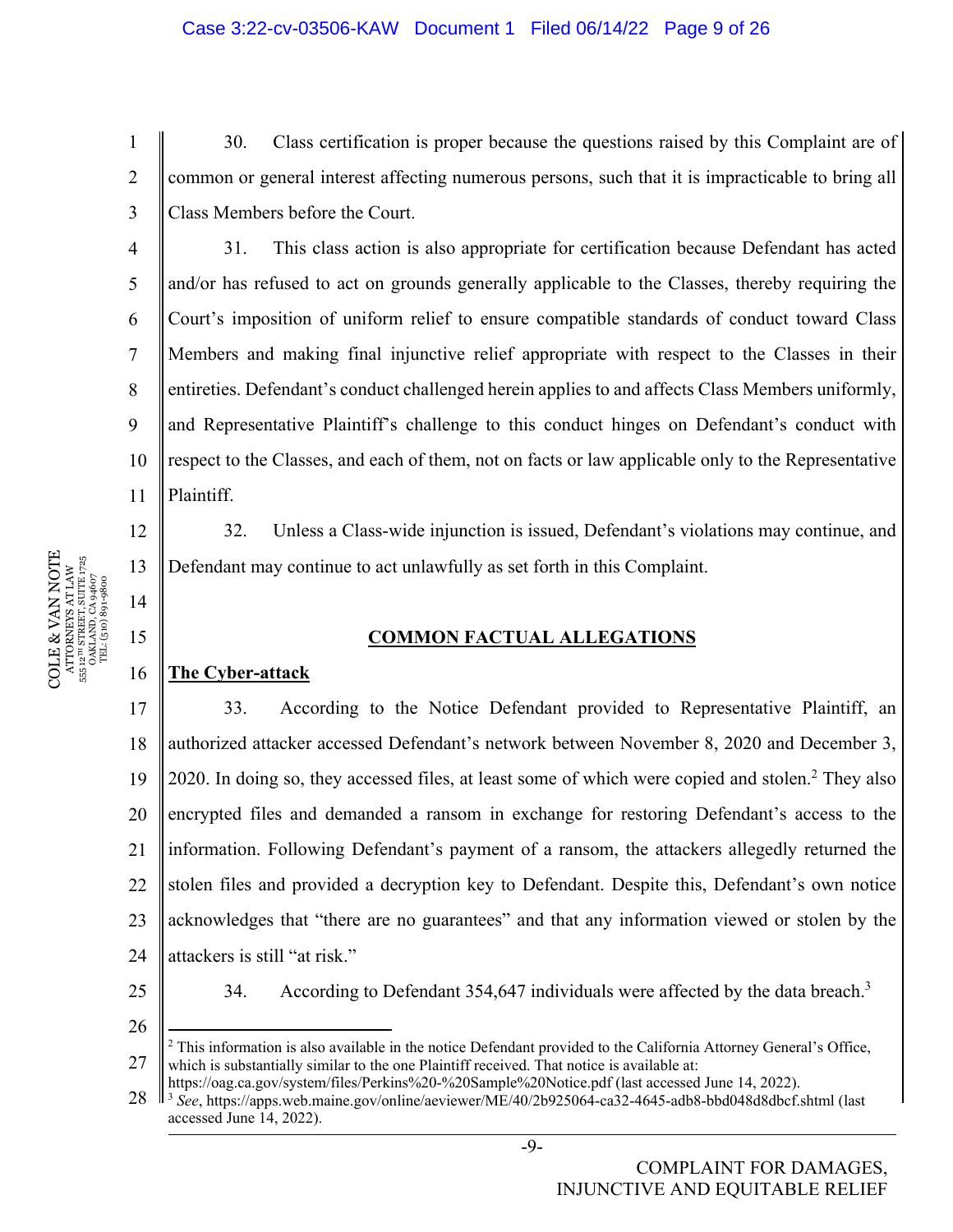30. Class certification is proper because the questions raised by this Complaint are of common or general interest affecting numerous persons, such that it is impracticable to bring all Class Members before the Court.

10 11 31. This class action is also appropriate for certification because Defendant has acted and/or has refused to act on grounds generally applicable to the Classes, thereby requiring the Court's imposition of uniform relief to ensure compatible standards of conduct toward Class Members and making final injunctive relief appropriate with respect to the Classes in their entireties. Defendant's conduct challenged herein applies to and affects Class Members uniformly, and Representative Plaintiff's challenge to this conduct hinges on Defendant's conduct with respect to the Classes, and each of them, not on facts or law applicable only to the Representative Plaintiff.

32. Unless a Class-wide injunction is issued, Defendant's violations may continue, and Defendant may continue to act unlawfully as set forth in this Complaint.

## **COMMON FACTUAL ALLEGATIONS**

#### 16 **The Cyber-attack**

17 18 19 20 21 22 23 24 33. According to the Notice Defendant provided to Representative Plaintiff, an authorized attacker accessed Defendant's network between November 8, 2020 and December 3, 2020. In doing so, they accessed files, at least some of which were copied and stolen.<sup>2</sup> They also encrypted files and demanded a ransom in exchange for restoring Defendant's access to the information. Following Defendant's payment of a ransom, the attackers allegedly returned the stolen files and provided a decryption key to Defendant. Despite this, Defendant's own notice acknowledges that "there are no guarantees" and that any information viewed or stolen by the attackers is still "at risk."

25

34. According to Defendant 354,647 individuals were affected by the data breach.<sup>3</sup>

26

27 <sup>2</sup> This information is also available in the notice Defendant provided to the California Attorney General's Office, which is substantially similar to the one Plaintiff received. That notice is available at:

1

2

3

4

5

6

7

8

9

12

13

14

https://oag.ca.gov/system/files/Perkins%20-%20Sample%20Notice.pdf (last accessed June 14, 2022). 3 *See*, https://apps.web.maine.gov/online/aeviewer/ME/40/2b925064-ca32-4645-adb8-bbd048d8dbcf.shtml (last

<sup>28</sup>  accessed June 14, 2022).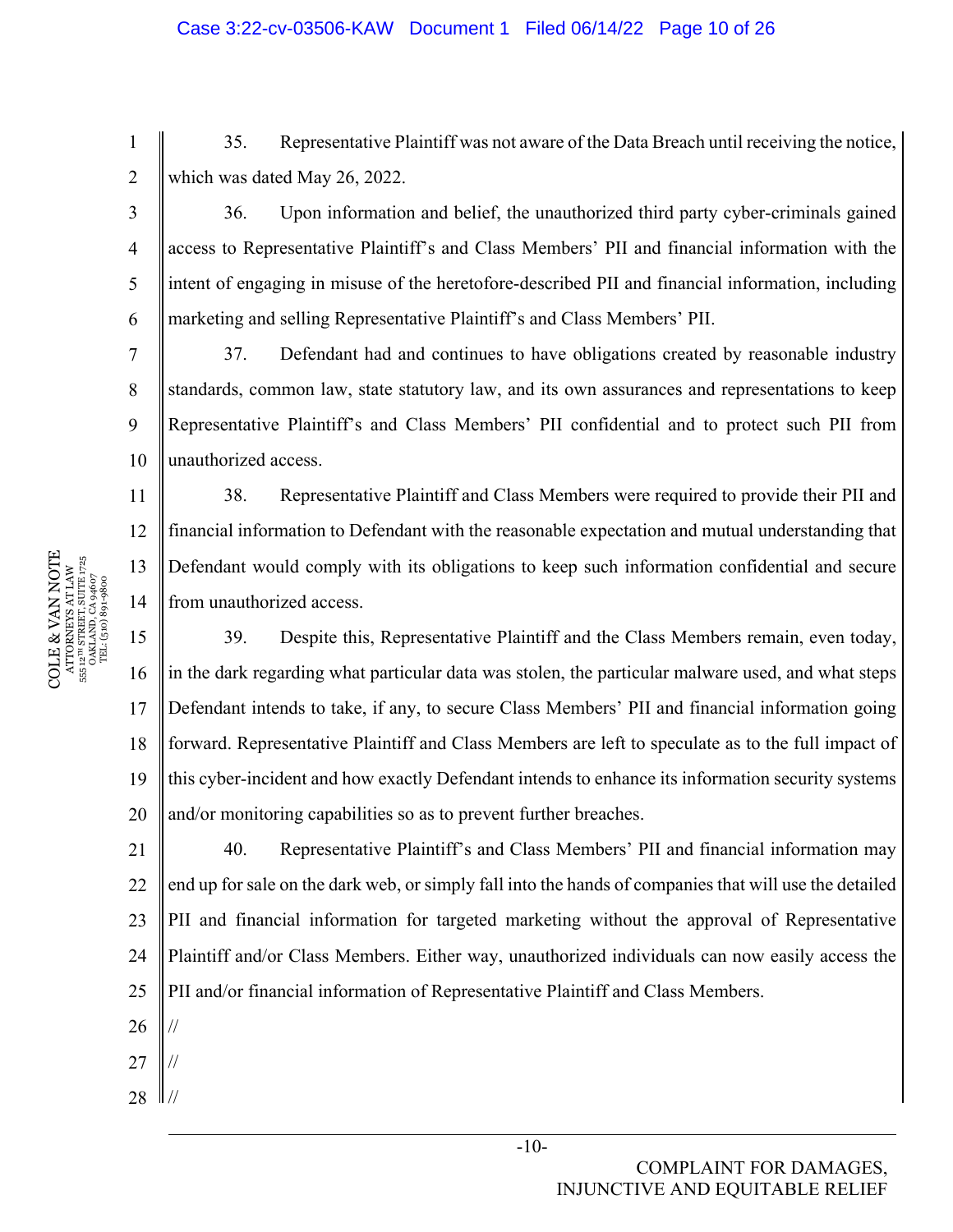35. Representative Plaintiff was not aware of the Data Breach until receiving the notice, which was dated May 26, 2022.

36. Upon information and belief, the unauthorized third party cyber-criminals gained access to Representative Plaintiff's and Class Members' PII and financial information with the intent of engaging in misuse of the heretofore-described PII and financial information, including marketing and selling Representative Plaintiff's and Class Members' PII.

10 37. Defendant had and continues to have obligations created by reasonable industry standards, common law, state statutory law, and its own assurances and representations to keep Representative Plaintiff's and Class Members' PII confidential and to protect such PII from unauthorized access.

38. Representative Plaintiff and Class Members were required to provide their PII and financial information to Defendant with the reasonable expectation and mutual understanding that Defendant would comply with its obligations to keep such information confidential and secure from unauthorized access.

15 16 17 18 19 20 39. Despite this, Representative Plaintiff and the Class Members remain, even today, in the dark regarding what particular data was stolen, the particular malware used, and what steps Defendant intends to take, if any, to secure Class Members' PII and financial information going forward. Representative Plaintiff and Class Members are left to speculate as to the full impact of this cyber-incident and how exactly Defendant intends to enhance its information security systems and/or monitoring capabilities so as to prevent further breaches.

21 22 23 24  $25$ 40. Representative Plaintiff's and Class Members' PII and financial information may end up for sale on the dark web, or simply fall into the hands of companies that will use the detailed PII and financial information for targeted marketing without the approval of Representative Plaintiff and/or Class Members. Either way, unauthorized individuals can now easily access the PII and/or financial information of Representative Plaintiff and Class Members.

27 //

//

26

28  $\parallel$  //

 $\begin{array}{c} \text{COLE} \& \text{VAN NOTE} \\\text{ATTORNENS AT LAW} \\\text{s5: } \text{a}^{\text{un} \text{SRREITS}} \text{ SUTE} \text{ J75} \\\text{s5: } \text{a}^{\text{un} \text{SRREITS}} \text{ SUTE} \text{ J75} \\\text{s5: } \text{a}^{\text{un} \text{S}} \text{J81} \text{J81} \text{J83} \\\text{J72} \\\text{T2} \text{L} \text{(510)} \text{S0} \text{9} \text{4607} \end{array}$ COLE & VAN NOTE 555 12TH STREET, SUITE 1725 ATTORNEYS AT LAW OAKLAND, CA 94607 TEL: (510) 891-9800 1

2

3

4

5

6

7

8

9

11

12

13

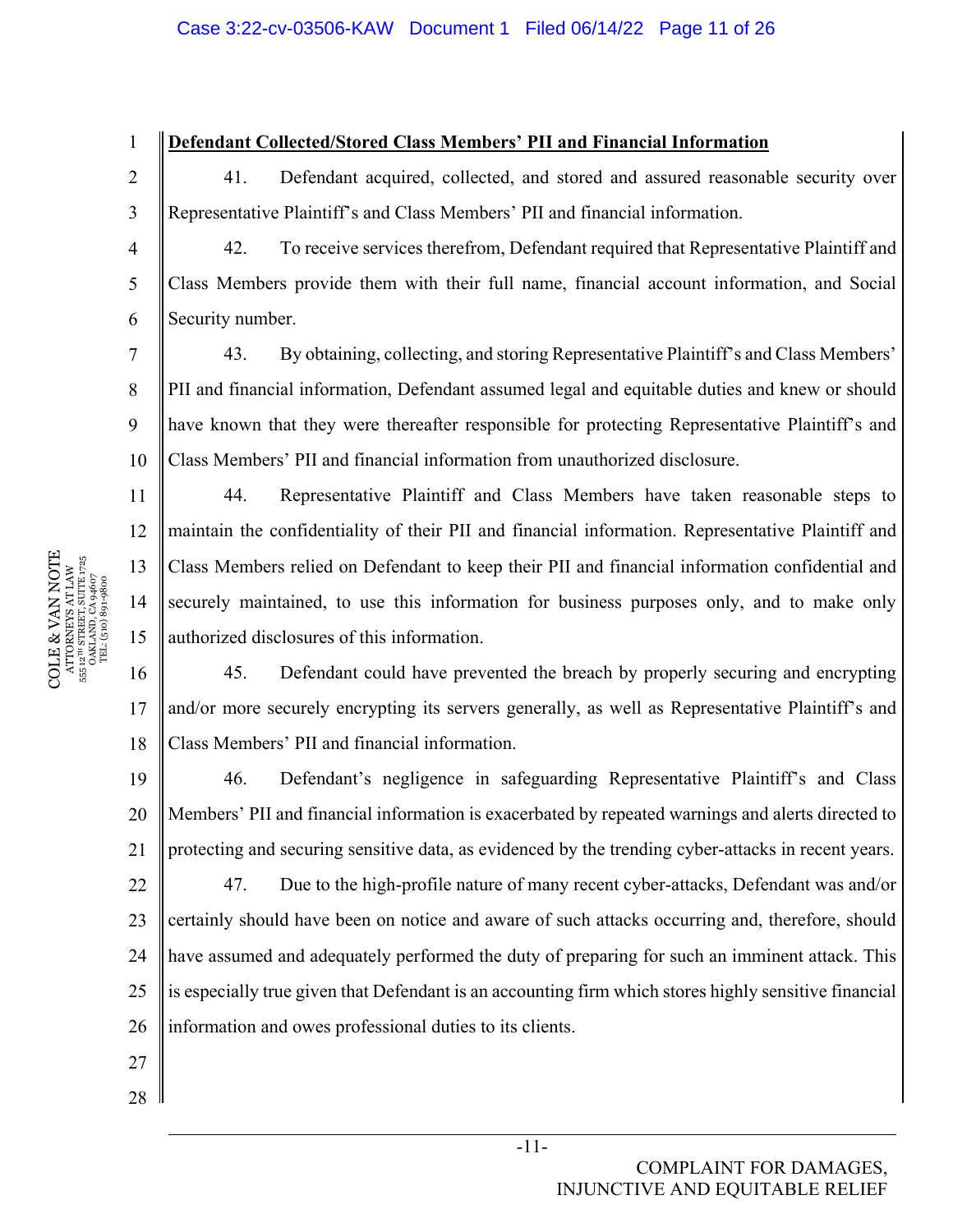## **Defendant Collected/Stored Class Members' PII and Financial Information**

41. Defendant acquired, collected, and stored and assured reasonable security over Representative Plaintiff's and Class Members' PII and financial information.

42. To receive services therefrom, Defendant required that Representative Plaintiff and Class Members provide them with their full name, financial account information, and Social Security number.

10 43. By obtaining, collecting, and storing Representative Plaintiff's and Class Members' PII and financial information, Defendant assumed legal and equitable duties and knew or should have known that they were thereafter responsible for protecting Representative Plaintiff's and Class Members' PII and financial information from unauthorized disclosure.

44. Representative Plaintiff and Class Members have taken reasonable steps to maintain the confidentiality of their PII and financial information. Representative Plaintiff and Class Members relied on Defendant to keep their PII and financial information confidential and securely maintained, to use this information for business purposes only, and to make only authorized disclosures of this information.

16 17 18 45. Defendant could have prevented the breach by properly securing and encrypting and/or more securely encrypting its servers generally, as well as Representative Plaintiff's and Class Members' PII and financial information.

19 20 21 46. Defendant's negligence in safeguarding Representative Plaintiff's and Class Members' PII and financial information is exacerbated by repeated warnings and alerts directed to protecting and securing sensitive data, as evidenced by the trending cyber-attacks in recent years.

22 23 24 25 26 47. Due to the high-profile nature of many recent cyber-attacks, Defendant was and/or certainly should have been on notice and aware of such attacks occurring and, therefore, should have assumed and adequately performed the duty of preparing for such an imminent attack. This is especially true given that Defendant is an accounting firm which stores highly sensitive financial information and owes professional duties to its clients.

- 27
- 28

COMPLAINT FOR DAMAGES, INJUNCTIVE AND EQUITABLE RELIEF

 $\begin{array}{c} \text{COLE} \& \text{VAN NOTE} \\\text{ATTORNENS AT LAW} \\\text{s5: } \text{a}^{\text{un} \text{SRREITS}} \text{ SUTE} \text{ J75} \\\text{s5: } \text{a}^{\text{un} \text{SRREITS}} \text{ SUTE} \text{ J75} \\\text{s5: } \text{a}^{\text{un} \text{S}} \text{J81} \text{J81} \text{J83} \\\text{J72} \\\text{T2} \text{L} \text{(510)} \text{S0} \text{9} \text{4607} \end{array}$ COLE & VAN NOTE 555 12TH STREET, SUITE 1725 ATTORNEYS AT LAW OAKLAND, CA 94607 TEL: (510) 891-9800 1

2

3

4

5

6

7

8

9

11

12

13

14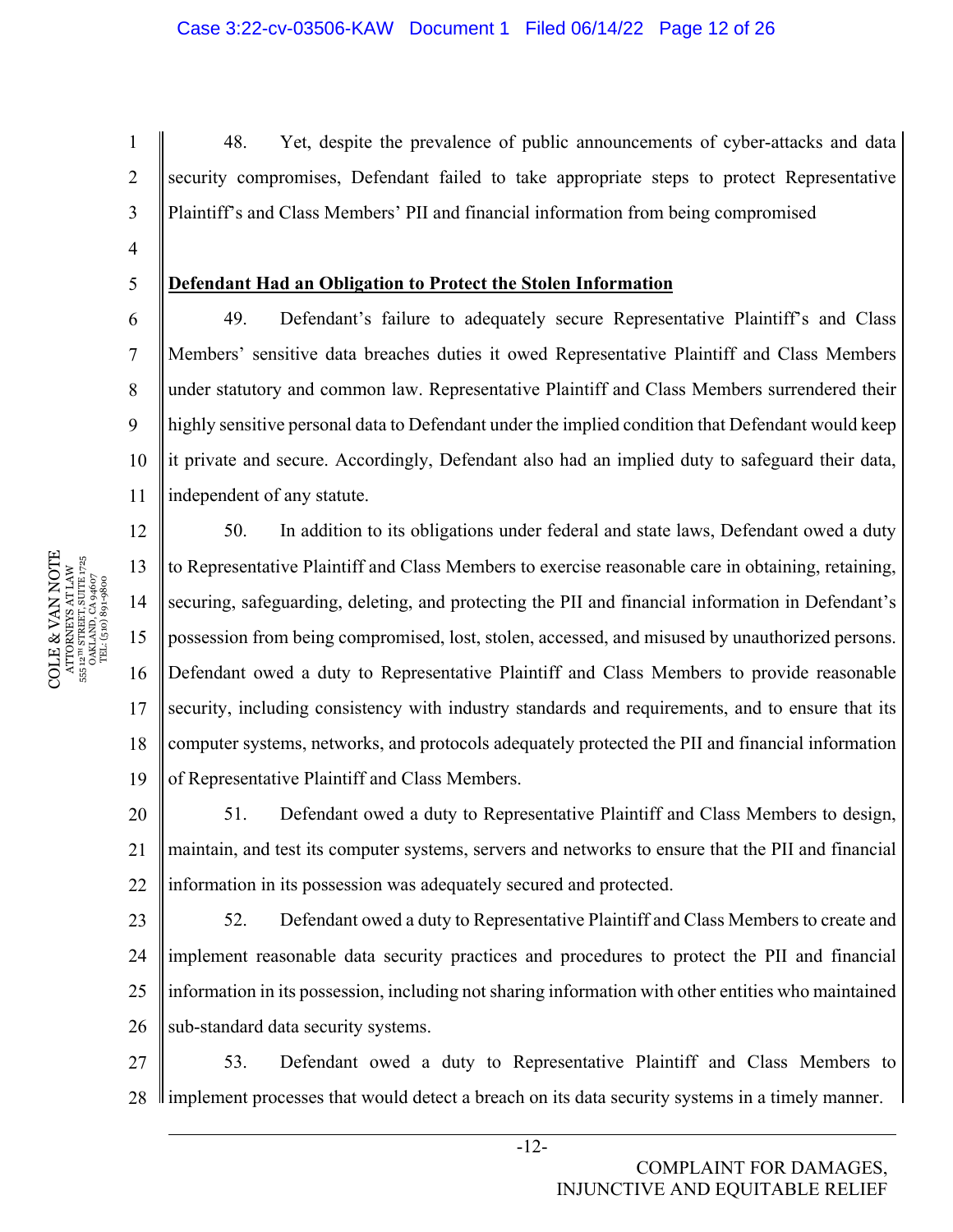48. Yet, despite the prevalence of public announcements of cyber-attacks and data security compromises, Defendant failed to take appropriate steps to protect Representative Plaintiff's and Class Members' PII and financial information from being compromised

4 5

6

7

8

9

1

2

3

## **Defendant Had an Obligation to Protect the Stolen Information**

10 11 49. Defendant's failure to adequately secure Representative Plaintiff's and Class Members' sensitive data breaches duties it owed Representative Plaintiff and Class Members under statutory and common law. Representative Plaintiff and Class Members surrendered their highly sensitive personal data to Defendant under the implied condition that Defendant would keep it private and secure. Accordingly, Defendant also had an implied duty to safeguard their data, independent of any statute.

12 13 14 15 16 17 18 19 50. In addition to its obligations under federal and state laws, Defendant owed a duty to Representative Plaintiff and Class Members to exercise reasonable care in obtaining, retaining, securing, safeguarding, deleting, and protecting the PII and financial information in Defendant's possession from being compromised, lost, stolen, accessed, and misused by unauthorized persons. Defendant owed a duty to Representative Plaintiff and Class Members to provide reasonable security, including consistency with industry standards and requirements, and to ensure that its computer systems, networks, and protocols adequately protected the PII and financial information of Representative Plaintiff and Class Members.

20 21 22 51. Defendant owed a duty to Representative Plaintiff and Class Members to design, maintain, and test its computer systems, servers and networks to ensure that the PII and financial information in its possession was adequately secured and protected.

23 24 25 26 52. Defendant owed a duty to Representative Plaintiff and Class Members to create and implement reasonable data security practices and procedures to protect the PII and financial information in its possession, including not sharing information with other entities who maintained sub-standard data security systems.

27 28 53. Defendant owed a duty to Representative Plaintiff and Class Members to If implement processes that would detect a breach on its data security systems in a timely manner.

 $\begin{array}{c} \text{COLE} \& \text{VAN NOTE} \\\text{ATTORNENS AT LAW} \\\text{s5: } \text{a}^{\text{un} \text{SRREITS}} \text{ SUTE} \text{ J75} \\\text{s5: } \text{a}^{\text{un} \text{SRREITS}} \text{ SUTE} \text{ J75} \\\text{s5: } \text{a}^{\text{un} \text{S}} \text{J81} \text{J81} \text{J83} \\\text{J72} \\\text{T2} \text{L} \text{(510)} \text{S0} \text{9} \text{4607} \end{array}$ COLE & VAN NOTE 555 12TH STREET, SUITE 1725 ATTORNEYS AT LAW OAKLAND, CA 94607 TEL: (510) 891-9800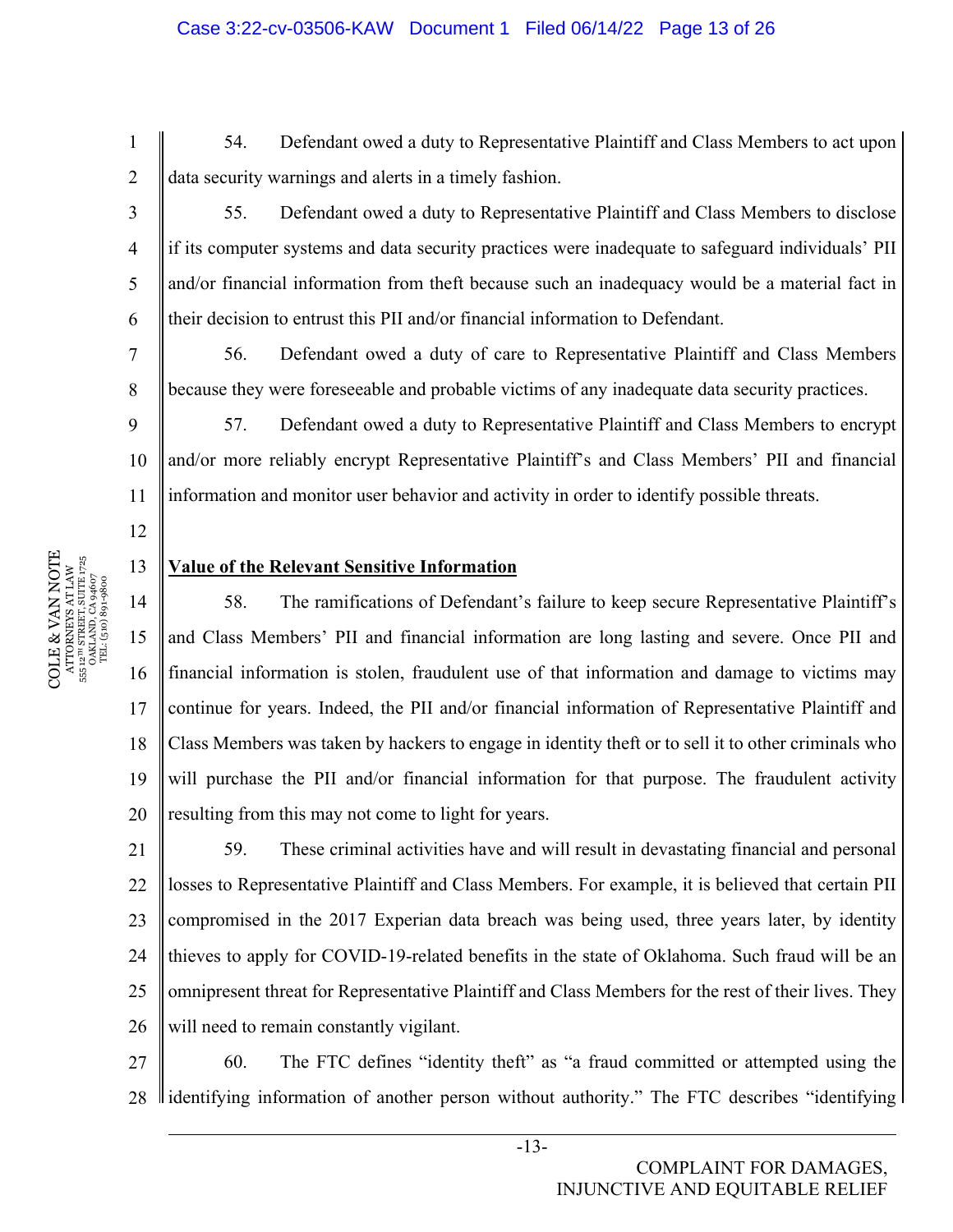54. Defendant owed a duty to Representative Plaintiff and Class Members to act upon data security warnings and alerts in a timely fashion.

55. Defendant owed a duty to Representative Plaintiff and Class Members to disclose if its computer systems and data security practices were inadequate to safeguard individuals' PII and/or financial information from theft because such an inadequacy would be a material fact in their decision to entrust this PII and/or financial information to Defendant.

56. Defendant owed a duty of care to Representative Plaintiff and Class Members because they were foreseeable and probable victims of any inadequate data security practices.

10 11 57. Defendant owed a duty to Representative Plaintiff and Class Members to encrypt and/or more reliably encrypt Representative Plaintiff's and Class Members' PII and financial information and monitor user behavior and activity in order to identify possible threats.

## **Value of the Relevant Sensitive Information**

14 15 16 17 18 19 20 58. The ramifications of Defendant's failure to keep secure Representative Plaintiff's and Class Members' PII and financial information are long lasting and severe. Once PII and financial information is stolen, fraudulent use of that information and damage to victims may continue for years. Indeed, the PII and/or financial information of Representative Plaintiff and Class Members was taken by hackers to engage in identity theft or to sell it to other criminals who will purchase the PII and/or financial information for that purpose. The fraudulent activity resulting from this may not come to light for years.

21 22 23 24 25 26 59. These criminal activities have and will result in devastating financial and personal losses to Representative Plaintiff and Class Members. For example, it is believed that certain PII compromised in the 2017 Experian data breach was being used, three years later, by identity thieves to apply for COVID-19-related benefits in the state of Oklahoma. Such fraud will be an omnipresent threat for Representative Plaintiff and Class Members for the rest of their lives. They will need to remain constantly vigilant.

27 28 60. The FTC defines "identity theft" as "a fraud committed or attempted using the llidentifying information of another person without authority." The FTC describes "identifying

1

2

3

4

5

6

7

8

9

12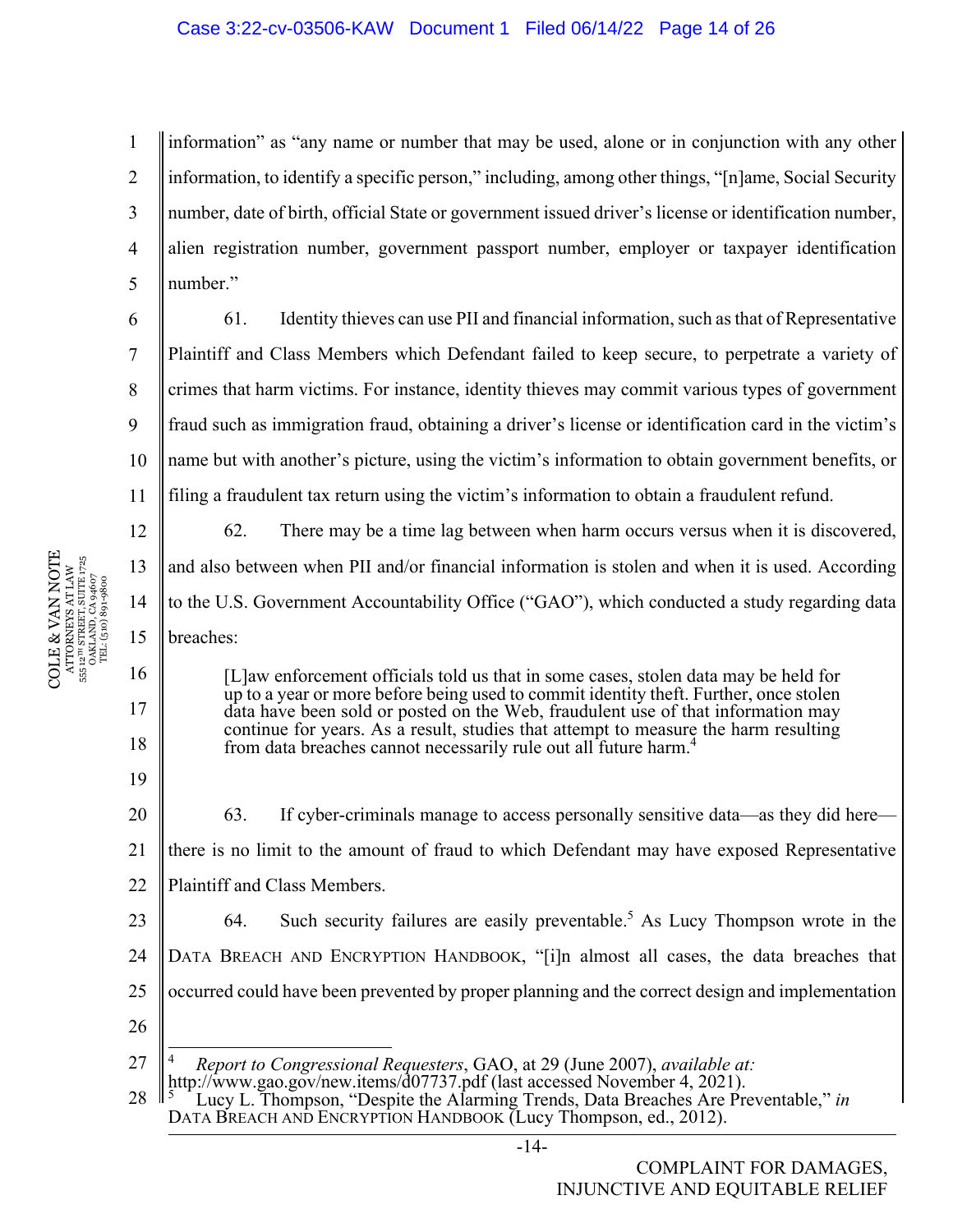1 2 3 4 5 information" as "any name or number that may be used, alone or in conjunction with any other information, to identify a specific person," including, among other things, "[n]ame, Social Security number, date of birth, official State or government issued driver's license or identification number, alien registration number, government passport number, employer or taxpayer identification number."

6 7 8

9

10

11

16

17

18

19

61. Identity thieves can use PII and financial information, such as that of Representative Plaintiff and Class Members which Defendant failed to keep secure, to perpetrate a variety of crimes that harm victims. For instance, identity thieves may commit various types of government fraud such as immigration fraud, obtaining a driver's license or identification card in the victim's name but with another's picture, using the victim's information to obtain government benefits, or filing a fraudulent tax return using the victim's information to obtain a fraudulent refund.

12 13 14 15 62. There may be a time lag between when harm occurs versus when it is discovered, and also between when PII and/or financial information is stolen and when it is used. According to the U.S. Government Accountability Office ("GAO"), which conducted a study regarding data breaches:

> [L]aw enforcement officials told us that in some cases, stolen data may be held for up to a year or more before being used to commit identity theft. Further, once stolen data have been sold or posted on the Web, fraudulent use of that information may continue for years. As a result, studies that attempt to measure the harm resulting from data breaches cannot necessarily rule out all future harm.4

20 21 22 63. If cyber-criminals manage to access personally sensitive data—as they did here there is no limit to the amount of fraud to which Defendant may have exposed Representative Plaintiff and Class Members.

23 24 25 64. Such security failures are easily preventable.<sup>5</sup> As Lucy Thompson wrote in the DATA BREACH AND ENCRYPTION HANDBOOK, "[i]n almost all cases, the data breaches that occurred could have been prevented by proper planning and the correct design and implementation

26

27 <sup>4</sup> *Report to Congressional Requesters*, GAO, at 29 (June 2007), *available at:* http://www.gao.gov/new.items/d07737.pdf (last accessed November 4, 2021).<br>
5 Lucy L. Thompson, "Despite the Alarming Trends, Data Breaches Are Pro

28 Lucy L. Thompson, "Despite the Alarming Trends, Data Breaches Are Preventable," *in*  DATA BREACH AND ENCRYPTION HANDBOOK (Lucy Thompson, ed., 2012).

COLE & VAN NOTE ATTORNEYS AT LAW<br>555 12™ STREET, SUITE 1725<br>0AKLAND, CA 94607<br>TEL: (510) 891-9800 COLE & VAN NOTE 555 12TH STREET, SUITE 1725 ATTORNEYS AT LAW OAKLAND, CA 94607 TEL: (510) 891-9800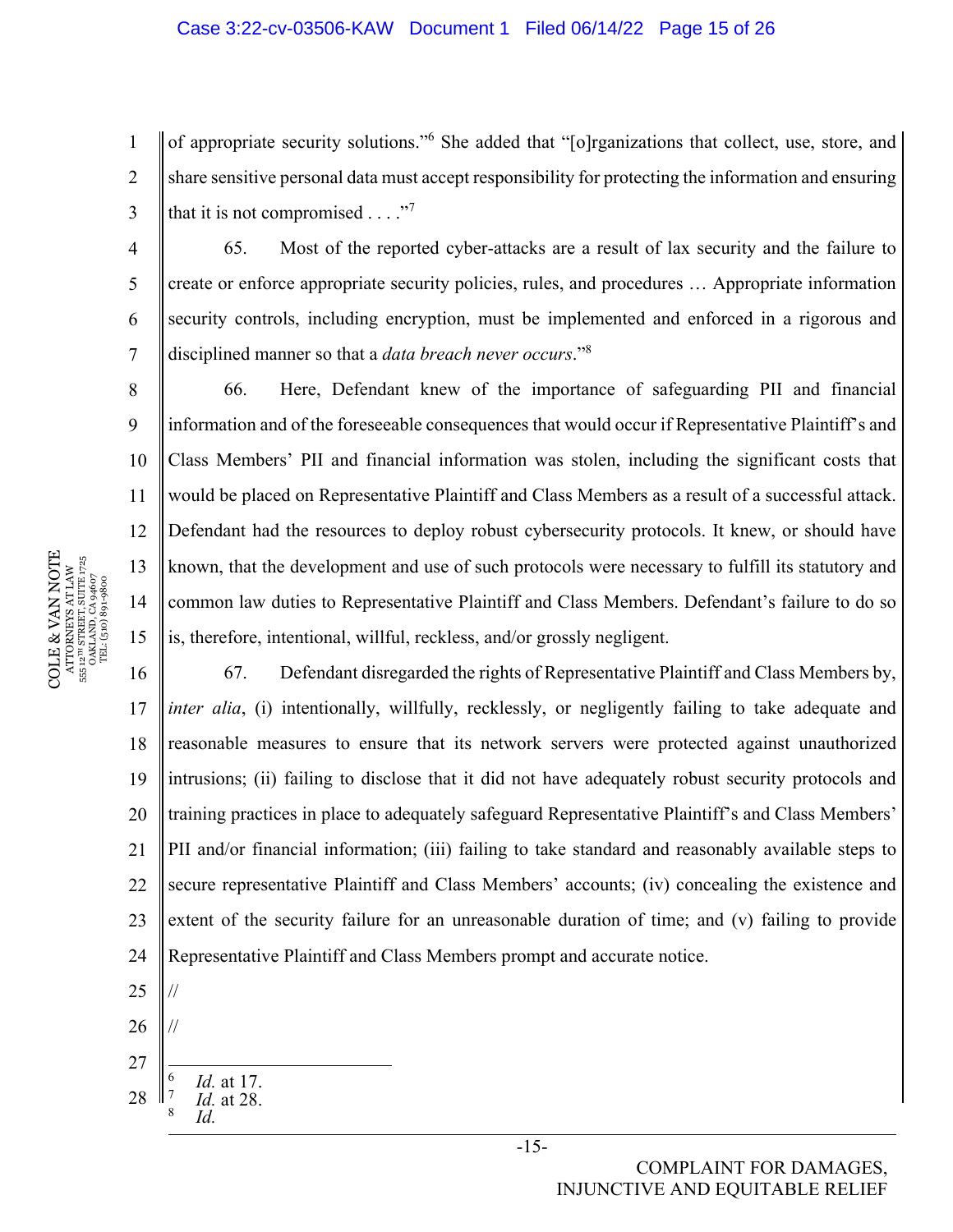#### Case 3:22-cv-03506-KAW Document 1 Filed 06/14/22 Page 15 of 26

1 2 3 of appropriate security solutions."<sup>6</sup> She added that "[o]rganizations that collect, use, store, and share sensitive personal data must accept responsibility for protecting the information and ensuring that it is not compromised  $\dots$ ."<sup>7</sup>

65. Most of the reported cyber-attacks are a result of lax security and the failure to create or enforce appropriate security policies, rules, and procedures … Appropriate information security controls, including encryption, must be implemented and enforced in a rigorous and disciplined manner so that a *data breach never occurs*."8

10 11 12 13 14 15 66. Here, Defendant knew of the importance of safeguarding PII and financial information and of the foreseeable consequences that would occur if Representative Plaintiff's and Class Members' PII and financial information was stolen, including the significant costs that would be placed on Representative Plaintiff and Class Members as a result of a successful attack. Defendant had the resources to deploy robust cybersecurity protocols. It knew, or should have known, that the development and use of such protocols were necessary to fulfill its statutory and common law duties to Representative Plaintiff and Class Members. Defendant's failure to do so is, therefore, intentional, willful, reckless, and/or grossly negligent.

16 17 18 19 20 21 22 23 24 67. Defendant disregarded the rights of Representative Plaintiff and Class Members by, *inter alia*, (i) intentionally, willfully, recklessly, or negligently failing to take adequate and reasonable measures to ensure that its network servers were protected against unauthorized intrusions; (ii) failing to disclose that it did not have adequately robust security protocols and training practices in place to adequately safeguard Representative Plaintiff's and Class Members' PII and/or financial information; (iii) failing to take standard and reasonably available steps to secure representative Plaintiff and Class Members' accounts; (iv) concealing the existence and extent of the security failure for an unreasonable duration of time; and (v) failing to provide Representative Plaintiff and Class Members prompt and accurate notice.

- 25 26 27 // // 6
- 28  *Id.* at 17. 7  *Id.* at 28. 8  *Id.*

# COMPLAINT FOR DAMAGES, INJUNCTIVE AND EQUITABLE RELIEF

COLE & VAN NOTE  $\begin{array}{c} {\text{ATTORNERS AT LAW}} \\ 55\,\,12^{78}\,\, \text{STRERT, SUTER}\,\, 1725 \\ \text{OAKLAND, CA 94607} \\ \text{TEL: (510)}\,\,891\text{-}9800 \end{array}$ COLE & VAN NOTE 555 12TH STREET, SUITE 1725 ATTORNEYS AT LAW OAKLAND, CA 94607 TEL: (510) 891-9800 555

4

5

6

7

8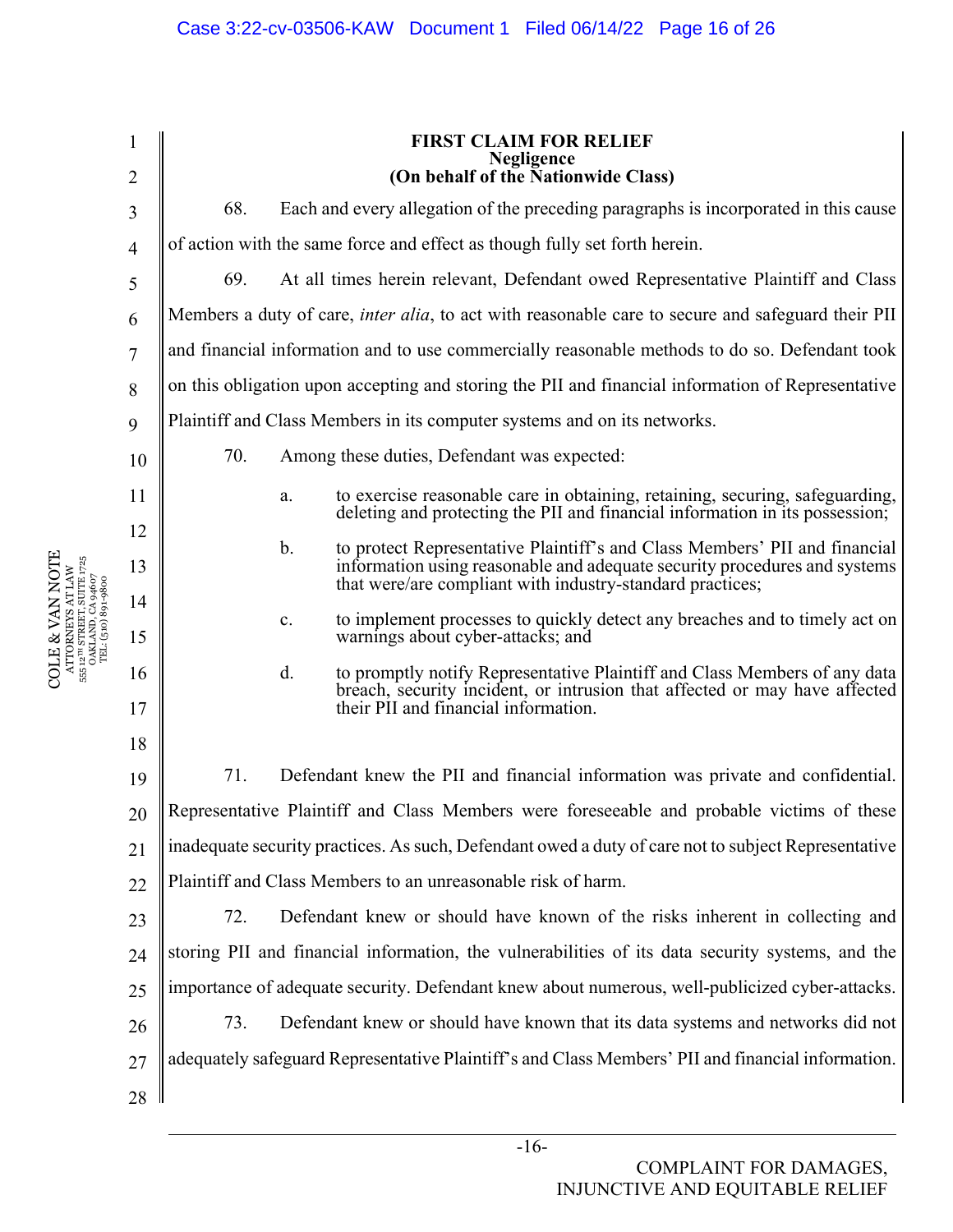|                |                                                                                                           | <b>FIRST CLAIM FOR RELIEF</b><br>Negligence                                                                                                                                                           |  |  |  |
|----------------|-----------------------------------------------------------------------------------------------------------|-------------------------------------------------------------------------------------------------------------------------------------------------------------------------------------------------------|--|--|--|
| $\overline{2}$ | (On behalf of the Nationwide Class)                                                                       |                                                                                                                                                                                                       |  |  |  |
| 3              | 68.                                                                                                       | Each and every allegation of the preceding paragraphs is incorporated in this cause                                                                                                                   |  |  |  |
| $\overline{4}$ | of action with the same force and effect as though fully set forth herein.                                |                                                                                                                                                                                                       |  |  |  |
| 5              | 69.                                                                                                       | At all times herein relevant, Defendant owed Representative Plaintiff and Class                                                                                                                       |  |  |  |
| 6              | Members a duty of care, <i>inter alia</i> , to act with reasonable care to secure and safeguard their PII |                                                                                                                                                                                                       |  |  |  |
| 7              | and financial information and to use commercially reasonable methods to do so. Defendant took             |                                                                                                                                                                                                       |  |  |  |
| 8              |                                                                                                           | on this obligation upon accepting and storing the PII and financial information of Representative                                                                                                     |  |  |  |
| 9              | Plaintiff and Class Members in its computer systems and on its networks.                                  |                                                                                                                                                                                                       |  |  |  |
| 10             | 70.                                                                                                       | Among these duties, Defendant was expected:                                                                                                                                                           |  |  |  |
| 11             |                                                                                                           | to exercise reasonable care in obtaining, retaining, securing, safeguarding,<br>a.<br>deleting and protecting the PII and financial information in its possession;                                    |  |  |  |
| 12             |                                                                                                           | to protect Representative Plaintiff's and Class Members' PII and financial<br>b.                                                                                                                      |  |  |  |
| 13             |                                                                                                           | information using reasonable and adequate security procedures and systems<br>that were/are compliant with industry-standard practices;                                                                |  |  |  |
| 14<br>15       |                                                                                                           | to implement processes to quickly detect any breaches and to timely act on<br>c.<br>warnings about cyber-attacks; and                                                                                 |  |  |  |
| 16<br>17       |                                                                                                           | to promptly notify Representative Plaintiff and Class Members of any data<br>d.<br>breach, security incident, or intrusion that affected or may have affected<br>their PII and financial information. |  |  |  |
| 18             | 71.                                                                                                       |                                                                                                                                                                                                       |  |  |  |
| 19             | Defendant knew the PII and financial information was private and confidential.                            |                                                                                                                                                                                                       |  |  |  |
| 20             | Representative Plaintiff and Class Members were foreseeable and probable victims of these                 |                                                                                                                                                                                                       |  |  |  |
| 21             | inadequate security practices. As such, Defendant owed a duty of care not to subject Representative       |                                                                                                                                                                                                       |  |  |  |
| 22             | Plaintiff and Class Members to an unreasonable risk of harm.                                              |                                                                                                                                                                                                       |  |  |  |
| 23             | 72.<br>Defendant knew or should have known of the risks inherent in collecting and                        |                                                                                                                                                                                                       |  |  |  |
| 24             | storing PII and financial information, the vulnerabilities of its data security systems, and the          |                                                                                                                                                                                                       |  |  |  |
| 25             | importance of adequate security. Defendant knew about numerous, well-publicized cyber-attacks.            |                                                                                                                                                                                                       |  |  |  |
| 26             | 73.<br>Defendant knew or should have known that its data systems and networks did not                     |                                                                                                                                                                                                       |  |  |  |
| 27             | adequately safeguard Representative Plaintiff's and Class Members' PII and financial information.         |                                                                                                                                                                                                       |  |  |  |
| 28             |                                                                                                           |                                                                                                                                                                                                       |  |  |  |

COLE & VAN NOTE ATTORNEYS AT LAW 555 12TH STREET, SUITE 1725 OAKLAND, CA 94607 TEL: (510) 891-9800

 $\begin{array}{c} \mathrm{COLE} \ \& \mathrm{VAN\,NOTE} \\ \mathrm{ATTORNENZS\,AT\,LAW} \\ \mathrm{551.213}\mathrm{SINRIS\,STL\,LY} \\ \mathrm{0167}\mathrm{NAP} \times \mathrm{034607} \\ \mathrm{0167}\mathrm{NAP} \times \mathrm{034607} \\ \mathrm{TEL: (510)891\text{-}980} \end{array}$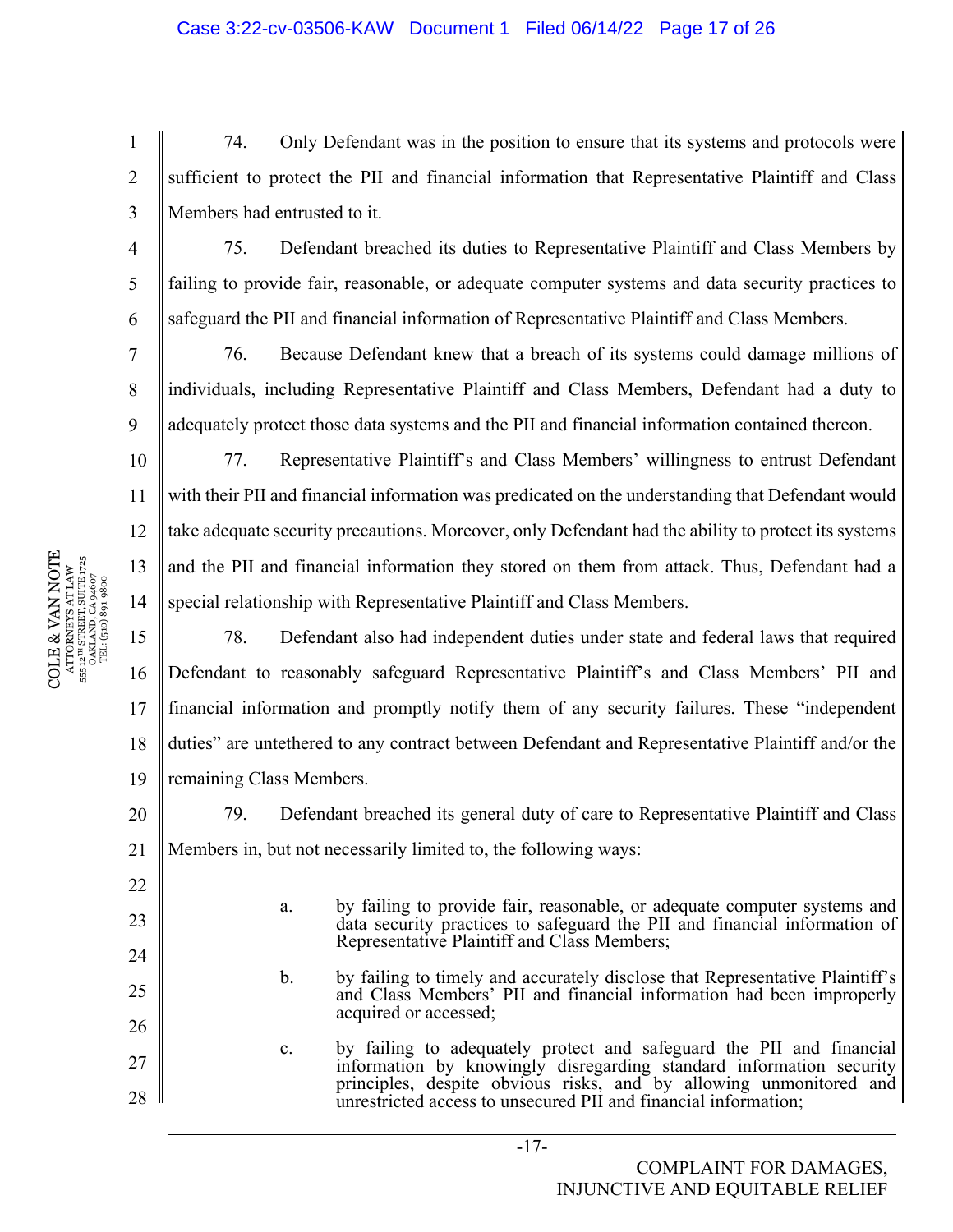74. Only Defendant was in the position to ensure that its systems and protocols were sufficient to protect the PII and financial information that Representative Plaintiff and Class Members had entrusted to it.

75. Defendant breached its duties to Representative Plaintiff and Class Members by failing to provide fair, reasonable, or adequate computer systems and data security practices to safeguard the PII and financial information of Representative Plaintiff and Class Members.

76. Because Defendant knew that a breach of its systems could damage millions of individuals, including Representative Plaintiff and Class Members, Defendant had a duty to adequately protect those data systems and the PII and financial information contained thereon.

77. Representative Plaintiff's and Class Members' willingness to entrust Defendant with their PII and financial information was predicated on the understanding that Defendant would take adequate security precautions. Moreover, only Defendant had the ability to protect its systems and the PII and financial information they stored on them from attack. Thus, Defendant had a special relationship with Representative Plaintiff and Class Members.

15 16 17 18 19 78. Defendant also had independent duties under state and federal laws that required Defendant to reasonably safeguard Representative Plaintiff's and Class Members' PII and financial information and promptly notify them of any security failures. These "independent duties" are untethered to any contract between Defendant and Representative Plaintiff and/or the remaining Class Members.

79. Defendant breached its general duty of care to Representative Plaintiff and Class Members in, but not necessarily limited to, the following ways:

- a. by failing to provide fair, reasonable, or adequate computer systems and data security practices to safeguard the PII and financial information of Representative Plaintiff and Class Members;
- b. by failing to timely and accurately disclose that Representative Plaintiff's and Class Members' PII and financial information had been improperly acquired or accessed;
- c. by failing to adequately protect and safeguard the PII and financial information by knowingly disregarding standard information security principles, despite obvious risks, and by allowing unmonitored and unrestricted access to unsecured PII and financial information;

 $\begin{array}{c} \text{COLE} \& \text{VAN NOTE} \\\text{ATTORNENS AT LAW} \\\text{s5: } \text{a}^{\text{un} \text{SRREITS}} \text{ SUTE} \text{ J75} \\\text{s5: } \text{a}^{\text{un} \text{SRREITS}} \text{ SUTE} \text{ J75} \\\text{s5: } \text{a}^{\text{un} \text{S}} \text{J81} \text{J81} \text{J83} \\\text{J72} \\\text{T2} \text{L} \text{(510)} \text{S0} \text{9} \text{4607} \end{array}$ COLE & VAN NOTE 555 12TH STREET, SUITE 1725 ATTORNEYS AT LAW OAKLAND, CA 94607 TEL: (510) 891-9800

1

2

3

4

5

6

7

8

9

10

11

12

13

14

20

21

22

23

24

25

26

27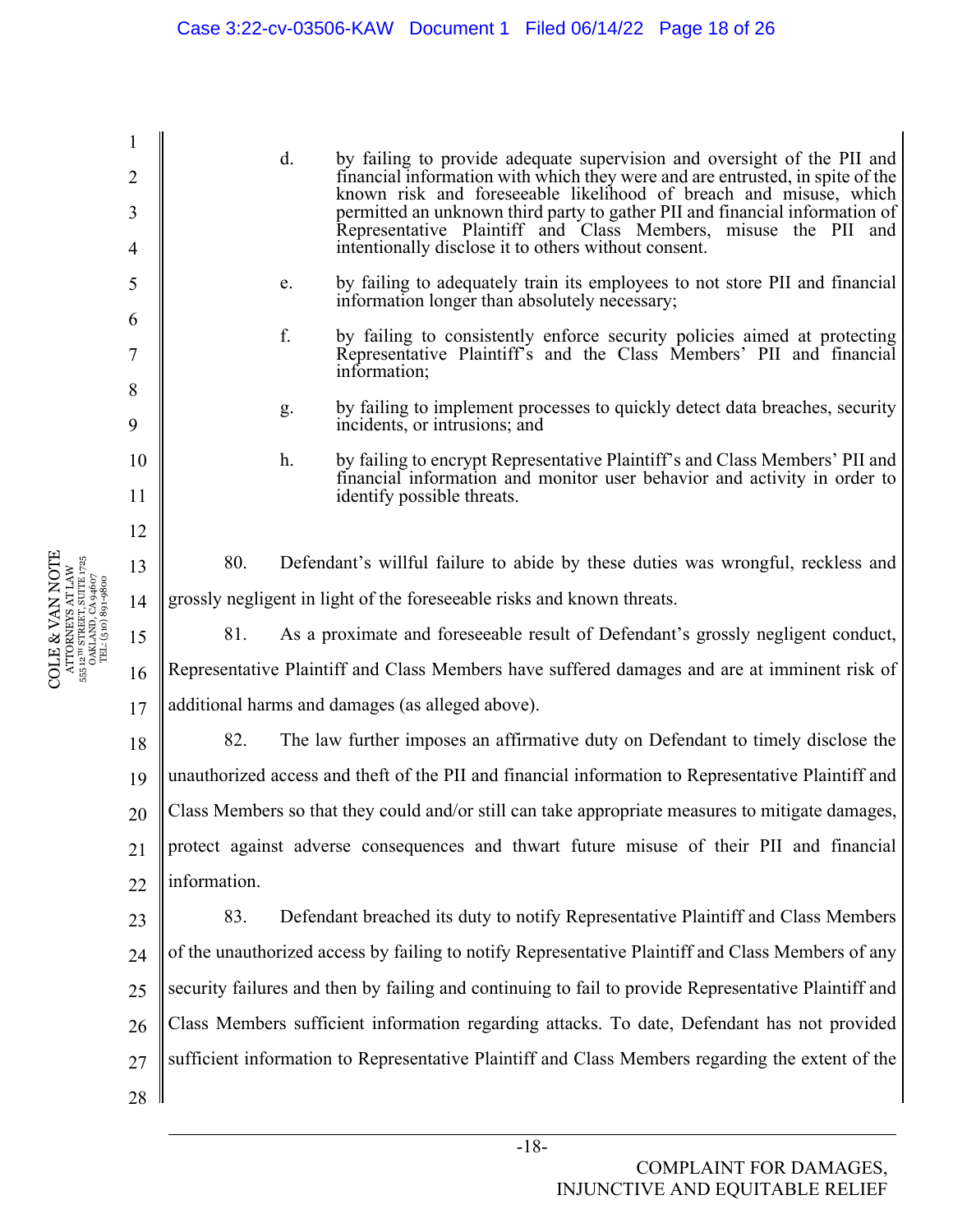1 2 3 4 5 6 7 8 9 10 11 12 13 14 15 16 17 18 19 20 21  $22$ 23 24  $25$ 26 27 28 d. by failing to provide adequate supervision and oversight of the PII and financial information with which they were and are entrusted, in spite of the known risk and foreseeable likelihood of breach and misuse, which permitted an unknown third party to gather PII and financial information of Representative Plaintiff and Class Members, misuse the PII and intentionally disclose it to others without consent. e. by failing to adequately train its employees to not store PII and financial information longer than absolutely necessary; f. by failing to consistently enforce security policies aimed at protecting Representative Plaintiff's and the Class Members' PII and financial information; g. by failing to implement processes to quickly detect data breaches, security incidents, or intrusions; and h. by failing to encrypt Representative Plaintiff's and Class Members' PII and financial information and monitor user behavior and activity in order to identify possible threats. 80. Defendant's willful failure to abide by these duties was wrongful, reckless and grossly negligent in light of the foreseeable risks and known threats. 81. As a proximate and foreseeable result of Defendant's grossly negligent conduct, Representative Plaintiff and Class Members have suffered damages and are at imminent risk of additional harms and damages (as alleged above). 82. The law further imposes an affirmative duty on Defendant to timely disclose the unauthorized access and theft of the PII and financial information to Representative Plaintiff and Class Members so that they could and/or still can take appropriate measures to mitigate damages, protect against adverse consequences and thwart future misuse of their PII and financial information. 83. Defendant breached its duty to notify Representative Plaintiff and Class Members of the unauthorized access by failing to notify Representative Plaintiff and Class Members of any security failures and then by failing and continuing to fail to provide Representative Plaintiff and Class Members sufficient information regarding attacks. To date, Defendant has not provided sufficient information to Representative Plaintiff and Class Members regarding the extent of the

COLE & VAN NOTE ATTORNEYS AT LAW 555 12TH STREET, SUITE 1725 OAKLAND, CA 94607 TEL: (510) 891-9800

 $\begin{array}{c} \text{ATTORNRYS AT LAW} \\ \text{555 12}^{\text{th}} \text{ STRERT, SUTEN} \text{ 1725} \\ \text{0AKLAND, CA 94607} \\ \text{TEL: (510) 891-9800} \end{array}$ COLE & VAN NOTE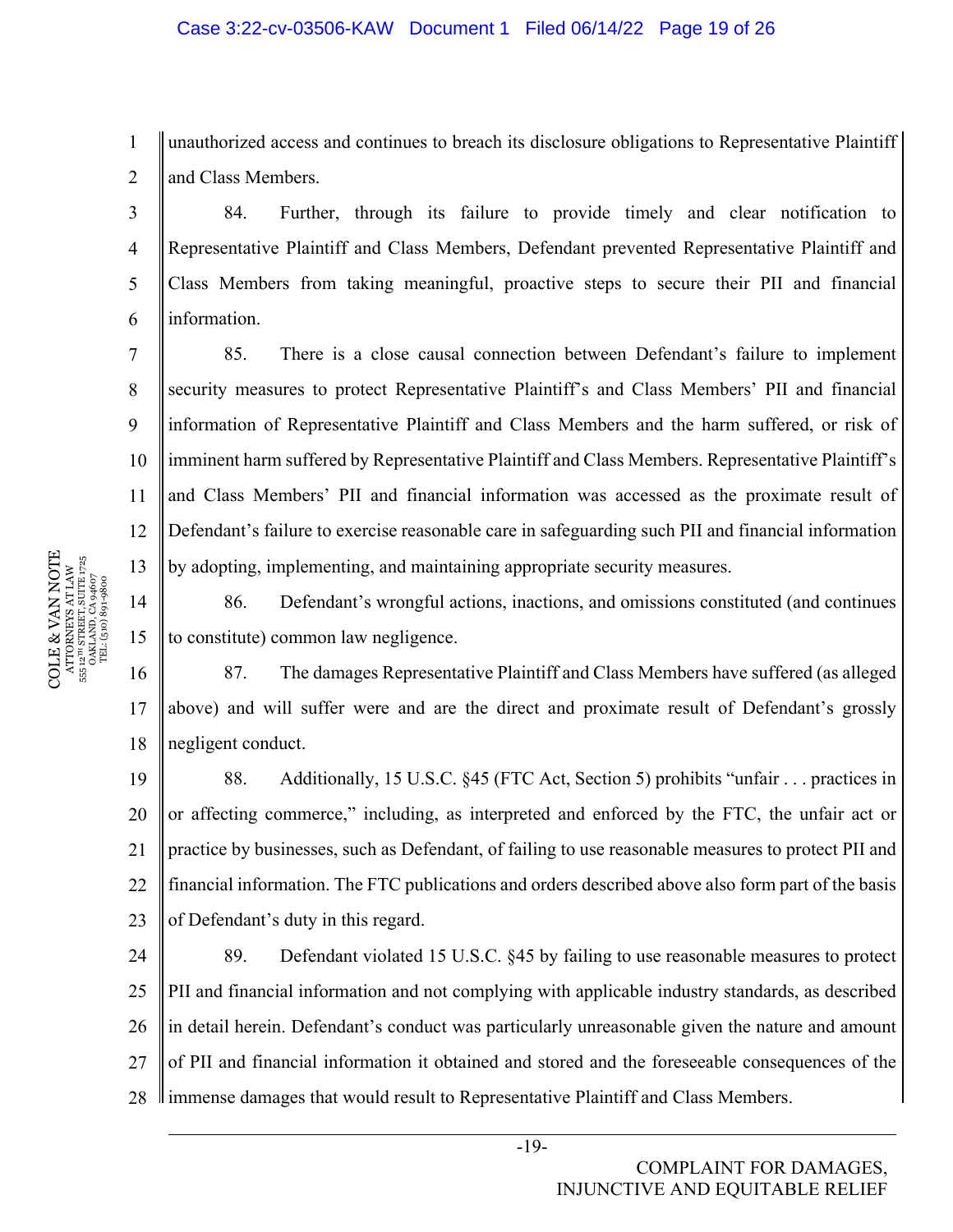1 2 unauthorized access and continues to breach its disclosure obligations to Representative Plaintiff and Class Members.

84. Further, through its failure to provide timely and clear notification to Representative Plaintiff and Class Members, Defendant prevented Representative Plaintiff and Class Members from taking meaningful, proactive steps to secure their PII and financial information.

10 11 12 13 85. There is a close causal connection between Defendant's failure to implement security measures to protect Representative Plaintiff's and Class Members' PII and financial information of Representative Plaintiff and Class Members and the harm suffered, or risk of imminent harm suffered by Representative Plaintiff and Class Members. Representative Plaintiff's and Class Members' PII and financial information was accessed as the proximate result of Defendant's failure to exercise reasonable care in safeguarding such PII and financial information by adopting, implementing, and maintaining appropriate security measures.

14 15 86. Defendant's wrongful actions, inactions, and omissions constituted (and continues to constitute) common law negligence.

16 17 18 87. The damages Representative Plaintiff and Class Members have suffered (as alleged above) and will suffer were and are the direct and proximate result of Defendant's grossly negligent conduct.

19 20 21 22 23 88. Additionally, 15 U.S.C. §45 (FTC Act, Section 5) prohibits "unfair . . . practices in or affecting commerce," including, as interpreted and enforced by the FTC, the unfair act or practice by businesses, such as Defendant, of failing to use reasonable measures to protect PII and financial information. The FTC publications and orders described above also form part of the basis of Defendant's duty in this regard.

24 25 26 27 28 89. Defendant violated 15 U.S.C. §45 by failing to use reasonable measures to protect PII and financial information and not complying with applicable industry standards, as described in detail herein. Defendant's conduct was particularly unreasonable given the nature and amount of PII and financial information it obtained and stored and the foreseeable consequences of the immense damages that would result to Representative Plaintiff and Class Members.

3

4

5

6

7

8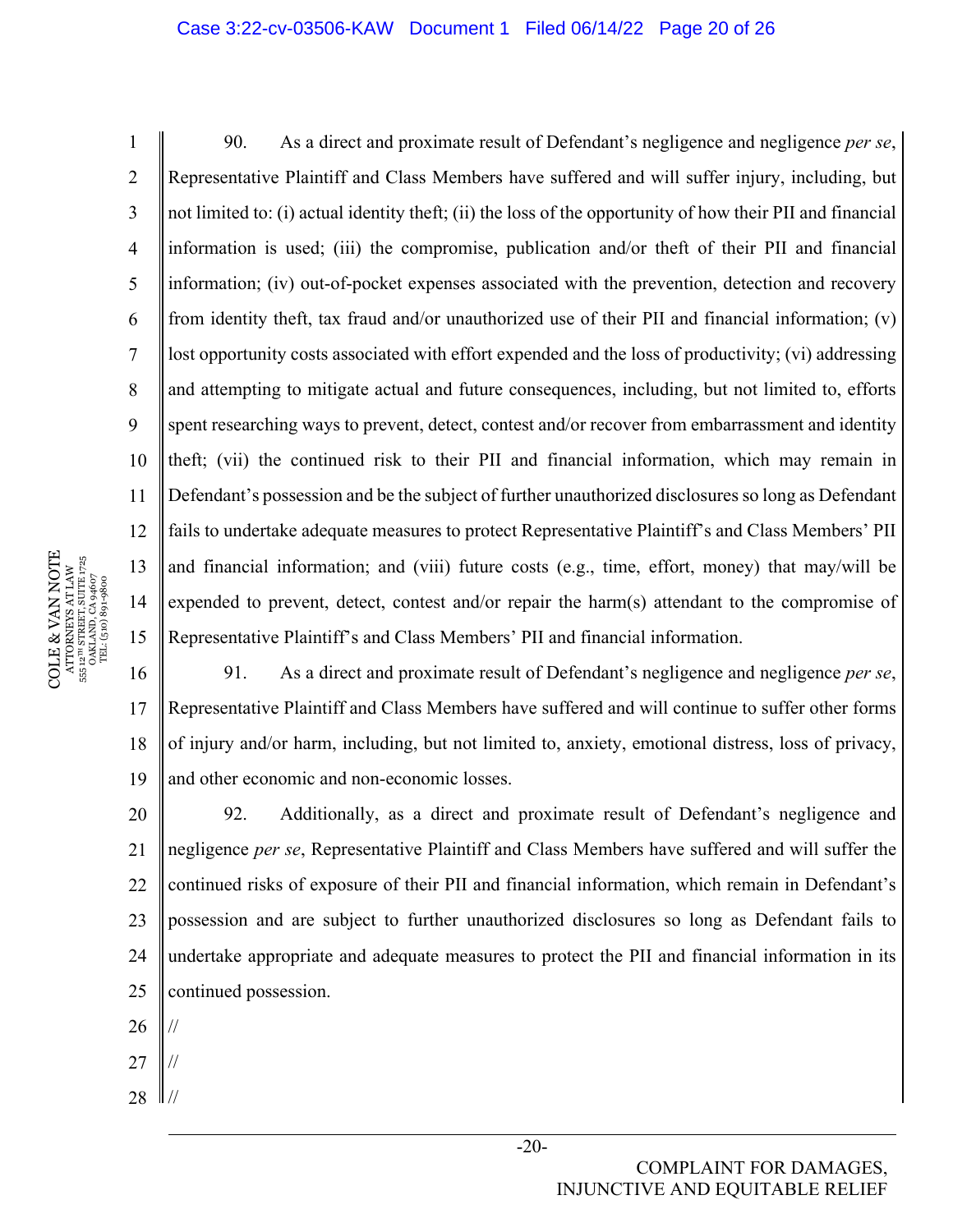## Case 3:22-cv-03506-KAW Document 1 Filed 06/14/22 Page 20 of 26

1 2 3 4 5 6 7 8 9 10 11 12 13 14 15 90. As a direct and proximate result of Defendant's negligence and negligence *per se*, Representative Plaintiff and Class Members have suffered and will suffer injury, including, but not limited to: (i) actual identity theft; (ii) the loss of the opportunity of how their PII and financial information is used; (iii) the compromise, publication and/or theft of their PII and financial information; (iv) out-of-pocket expenses associated with the prevention, detection and recovery from identity theft, tax fraud and/or unauthorized use of their PII and financial information; (v) lost opportunity costs associated with effort expended and the loss of productivity; (vi) addressing and attempting to mitigate actual and future consequences, including, but not limited to, efforts spent researching ways to prevent, detect, contest and/or recover from embarrassment and identity theft; (vii) the continued risk to their PII and financial information, which may remain in Defendant's possession and be the subject of further unauthorized disclosures so long as Defendant fails to undertake adequate measures to protect Representative Plaintiff's and Class Members' PII and financial information; and (viii) future costs (e.g., time, effort, money) that may/will be expended to prevent, detect, contest and/or repair the harm(s) attendant to the compromise of Representative Plaintiff's and Class Members' PII and financial information.

16 17 18 19 91. As a direct and proximate result of Defendant's negligence and negligence *per se*, Representative Plaintiff and Class Members have suffered and will continue to suffer other forms of injury and/or harm, including, but not limited to, anxiety, emotional distress, loss of privacy, and other economic and non-economic losses.

20 21 22 23 24  $25$ 92. Additionally, as a direct and proximate result of Defendant's negligence and negligence *per se*, Representative Plaintiff and Class Members have suffered and will suffer the continued risks of exposure of their PII and financial information, which remain in Defendant's possession and are subject to further unauthorized disclosures so long as Defendant fails to undertake appropriate and adequate measures to protect the PII and financial information in its continued possession.

- 26 //
- 27 //
- 28  $\parallel$  //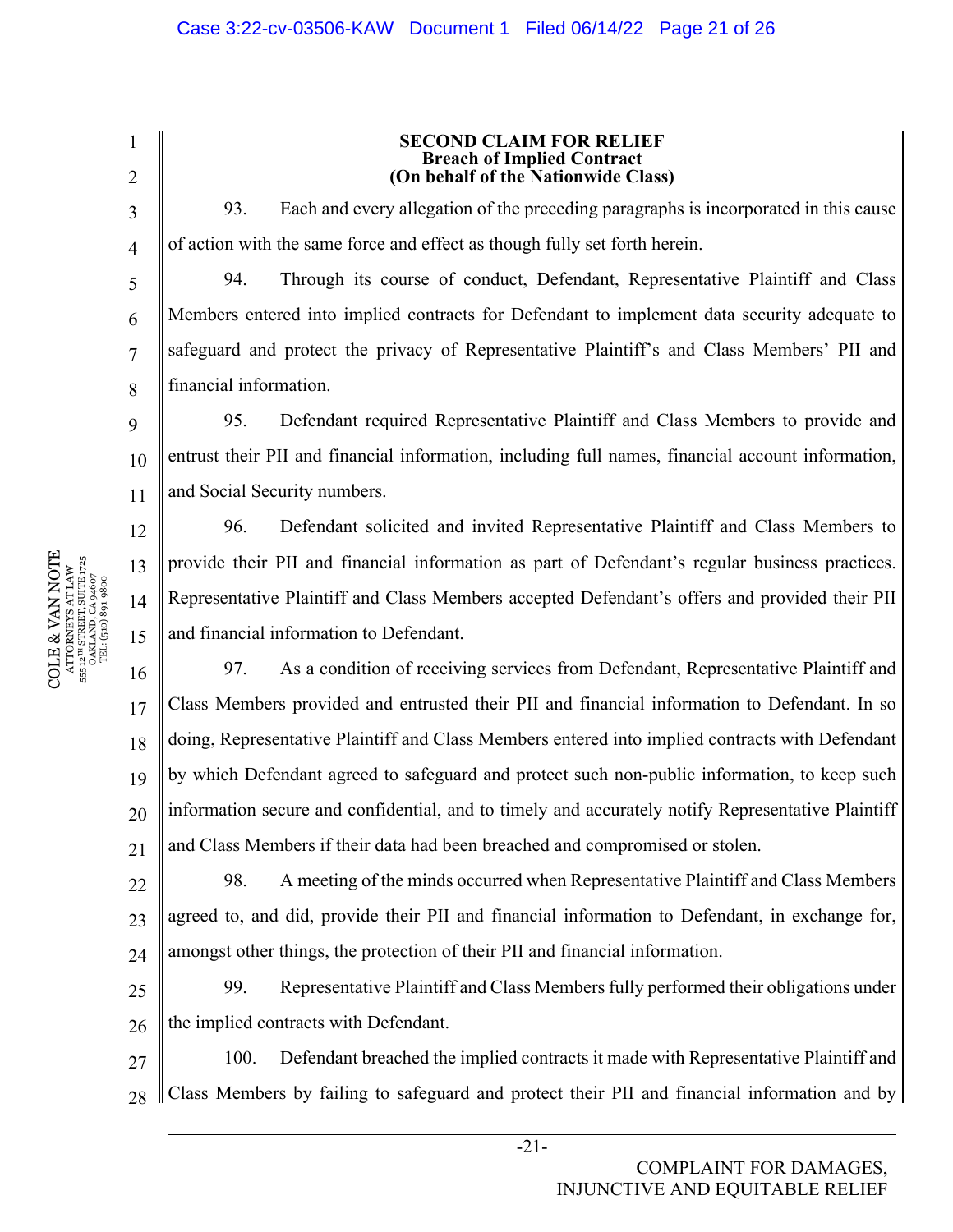2

3

4

5

6

7

8

9

12

13

14

15

1

#### **SECOND CLAIM FOR RELIEF Breach of Implied Contract (On behalf of the Nationwide Class)**

93. Each and every allegation of the preceding paragraphs is incorporated in this cause of action with the same force and effect as though fully set forth herein.

94. Through its course of conduct, Defendant, Representative Plaintiff and Class Members entered into implied contracts for Defendant to implement data security adequate to safeguard and protect the privacy of Representative Plaintiff's and Class Members' PII and financial information.

10 11 95. Defendant required Representative Plaintiff and Class Members to provide and entrust their PII and financial information, including full names, financial account information, and Social Security numbers.

96. Defendant solicited and invited Representative Plaintiff and Class Members to provide their PII and financial information as part of Defendant's regular business practices. Representative Plaintiff and Class Members accepted Defendant's offers and provided their PII and financial information to Defendant.

16 17 18 19 20 21 97. As a condition of receiving services from Defendant, Representative Plaintiff and Class Members provided and entrusted their PII and financial information to Defendant. In so doing, Representative Plaintiff and Class Members entered into implied contracts with Defendant by which Defendant agreed to safeguard and protect such non-public information, to keep such information secure and confidential, and to timely and accurately notify Representative Plaintiff and Class Members if their data had been breached and compromised or stolen.

22 23 24 98. A meeting of the minds occurred when Representative Plaintiff and Class Members agreed to, and did, provide their PII and financial information to Defendant, in exchange for, amongst other things, the protection of their PII and financial information.

25 26 99. Representative Plaintiff and Class Members fully performed their obligations under the implied contracts with Defendant.

27 28 100. Defendant breached the implied contracts it made with Representative Plaintiff and Class Members by failing to safeguard and protect their PII and financial information and by

 $\begin{array}{c} \text{COLE} \& \text{VAN NOTE} \\\text{ATTORNENS AT LAW} \\\text{s5: } \text{a}^{\text{un} \text{SRREITS}} \text{ SUTE} \text{ J75} \\\text{s5: } \text{a}^{\text{un} \text{SRREITS}} \text{ SUTE} \text{ J75} \\\text{s5: } \text{a}^{\text{un} \text{S}} \text{J81} \text{J81} \text{J83} \\\text{J72} \\\text{T2} \text{L} \text{(510)} \text{S0} \text{9} \text{4607} \end{array}$ COLE & VAN NOTE 555 12TH STREET, SUITE 1725 ATTORNEYS AT LAW OAKLAND, CA 94607 TEL: (510) 891-9800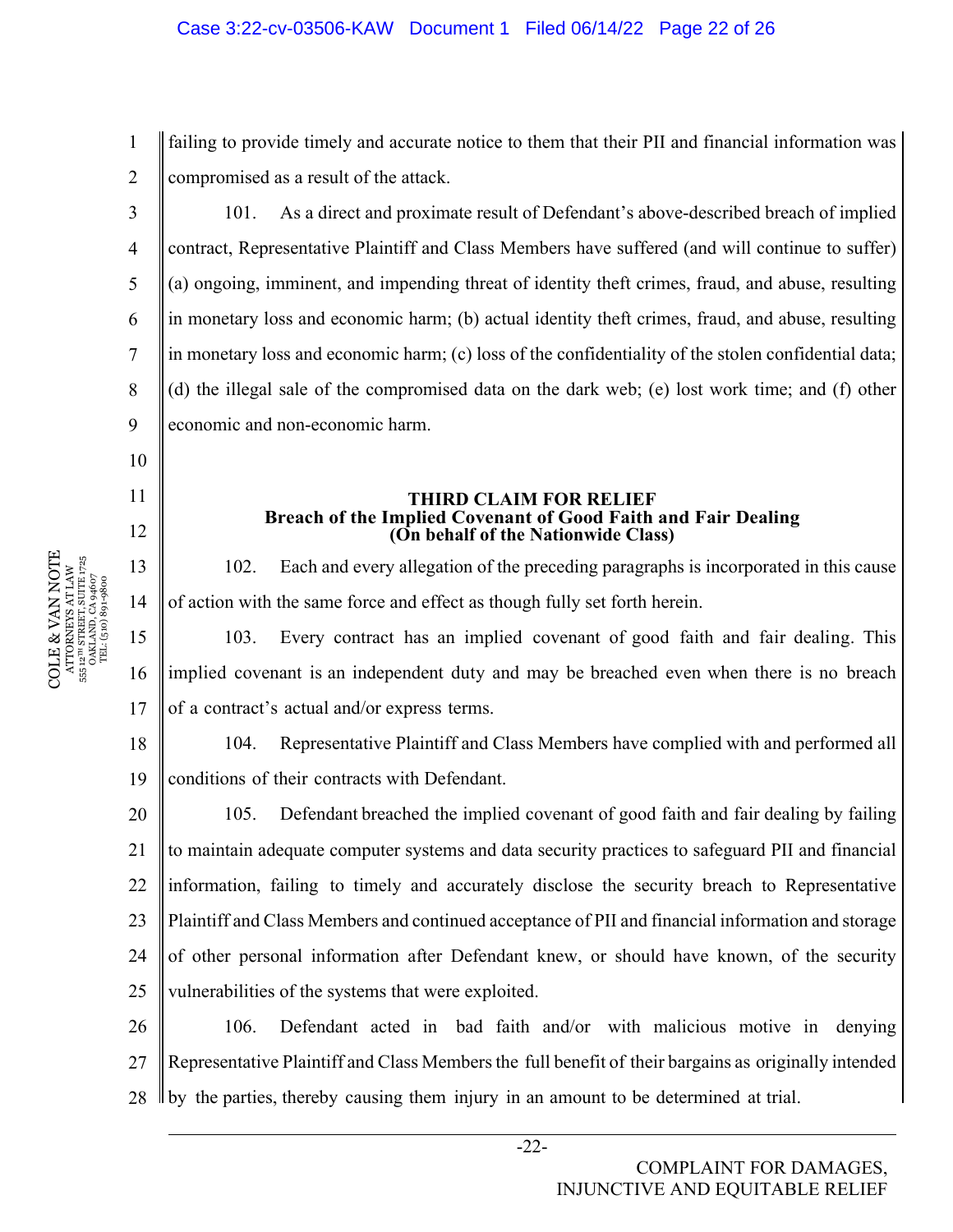1 2 failing to provide timely and accurate notice to them that their PII and financial information was compromised as a result of the attack.

101. As a direct and proximate result of Defendant's above-described breach of implied contract, Representative Plaintiff and Class Members have suffered (and will continue to suffer) (a) ongoing, imminent, and impending threat of identity theft crimes, fraud, and abuse, resulting in monetary loss and economic harm; (b) actual identity theft crimes, fraud, and abuse, resulting in monetary loss and economic harm; (c) loss of the confidentiality of the stolen confidential data; (d) the illegal sale of the compromised data on the dark web; (e) lost work time; and (f) other economic and non-economic harm.

## **THIRD CLAIM FOR RELIEF Breach of the Implied Covenant of Good Faith and Fair Dealing (On behalf of the Nationwide Class)**

102. Each and every allegation of the preceding paragraphs is incorporated in this cause of action with the same force and effect as though fully set forth herein.

15 16 17 103. Every contract has an implied covenant of good faith and fair dealing. This implied covenant is an independent duty and may be breached even when there is no breach of a contract's actual and/or express terms.

18 19 104. Representative Plaintiff and Class Members have complied with and performed all conditions of their contracts with Defendant.

20 21 22 23 24 25 105. Defendant breached the implied covenant of good faith and fair dealing by failing to maintain adequate computer systems and data security practices to safeguard PII and financial information, failing to timely and accurately disclose the security breach to Representative Plaintiff and Class Members and continued acceptance of PII and financial information and storage of other personal information after Defendant knew, or should have known, of the security vulnerabilities of the systems that were exploited.

26 27 28 106. Defendant acted in bad faith and/or with malicious motive in denying Representative Plaintiff and Class Members the full benefit of their bargains as originally intended by the parties, thereby causing them injury in an amount to be determined at trial.

3

4

5

6

7

8

9

10

11

12

13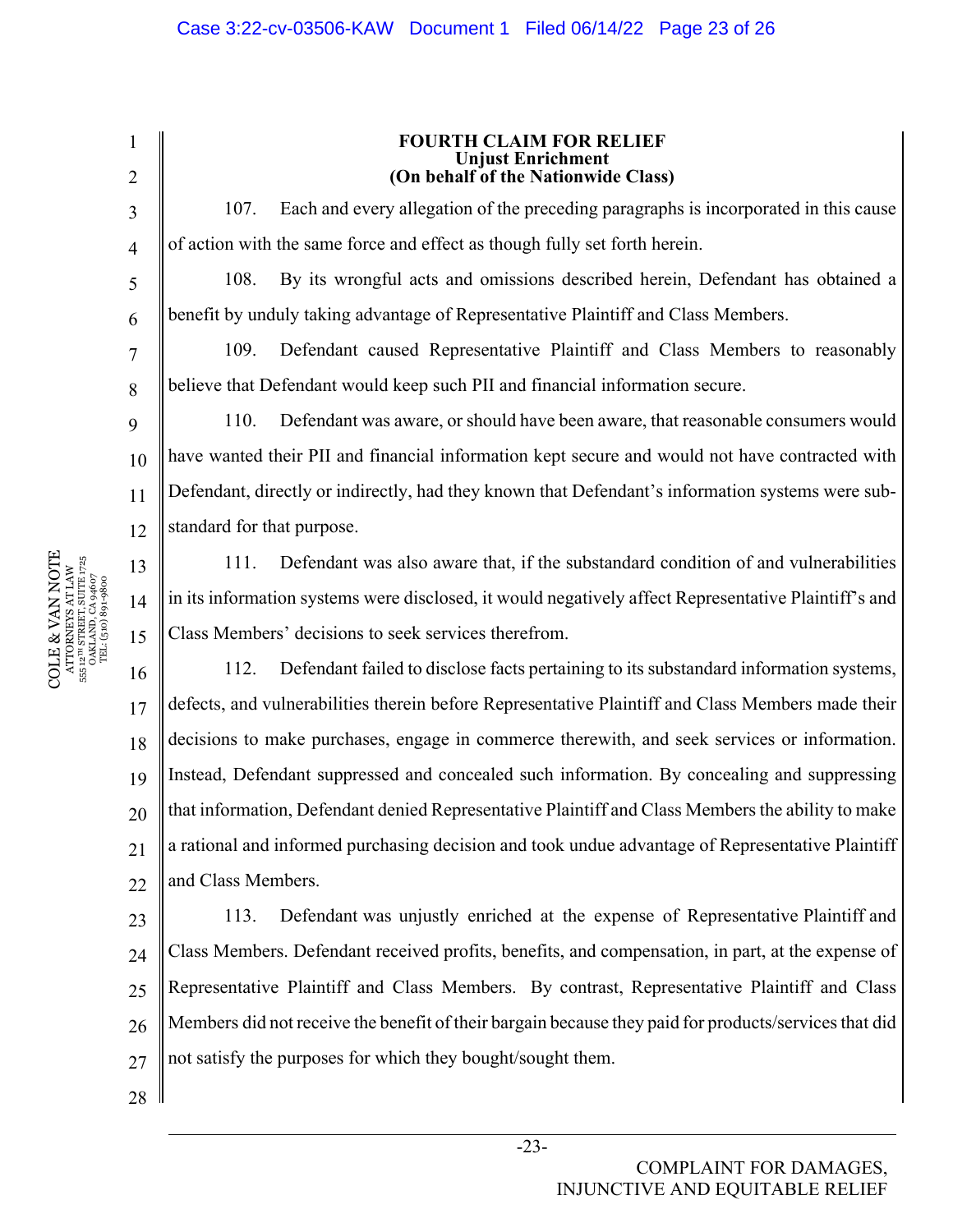3 4 5

6

7

8

9

11

13

14

15

1

2

#### **FOURTH CLAIM FOR RELIEF Unjust Enrichment (On behalf of the Nationwide Class)**

107. Each and every allegation of the preceding paragraphs is incorporated in this cause of action with the same force and effect as though fully set forth herein.

108. By its wrongful acts and omissions described herein, Defendant has obtained a benefit by unduly taking advantage of Representative Plaintiff and Class Members.

109. Defendant caused Representative Plaintiff and Class Members to reasonably believe that Defendant would keep such PII and financial information secure.

10 12 110. Defendant was aware, or should have been aware, that reasonable consumers would have wanted their PII and financial information kept secure and would not have contracted with Defendant, directly or indirectly, had they known that Defendant's information systems were substandard for that purpose.

111. Defendant was also aware that, if the substandard condition of and vulnerabilities in its information systems were disclosed, it would negatively affect Representative Plaintiff's and Class Members' decisions to seek services therefrom.

16 17 18 19 20 21  $22$ 112. Defendant failed to disclose facts pertaining to its substandard information systems, defects, and vulnerabilities therein before Representative Plaintiff and Class Members made their decisions to make purchases, engage in commerce therewith, and seek services or information. Instead, Defendant suppressed and concealed such information. By concealing and suppressing that information, Defendant denied Representative Plaintiff and Class Members the ability to make a rational and informed purchasing decision and took undue advantage of Representative Plaintiff and Class Members.

23 24  $25$ 26 27 113. Defendant was unjustly enriched at the expense of Representative Plaintiff and Class Members. Defendant received profits, benefits, and compensation, in part, at the expense of Representative Plaintiff and Class Members. By contrast, Representative Plaintiff and Class Members did not receive the benefit of their bargain because they paid for products/services that did not satisfy the purposes for which they bought/sought them.

28

 $\begin{array}{c} \text{COLE} \& \text{VAN NOTE} \\\text{ATTORNENS AT LAW} \\\text{s5: } \text{a}^{\text{un} \text{SRREITS}} \text{ SUTE} \text{ J75} \\\text{s5: } \text{a}^{\text{un} \text{SRREITS}} \text{ SUTE} \text{ J75} \\\text{s5: } \text{a}^{\text{un} \text{S}} \text{J81} \text{J81} \text{J83} \\\text{J72} \\\text{T2} \text{L} \text{(510)} \text{S0} \text{9} \text{4607} \end{array}$ COLE & VAN NOTE 555 12TH STREET, SUITE 1725 ATTORNEYS AT LAW OAKLAND, CA 94607 TEL: (510) 891-9800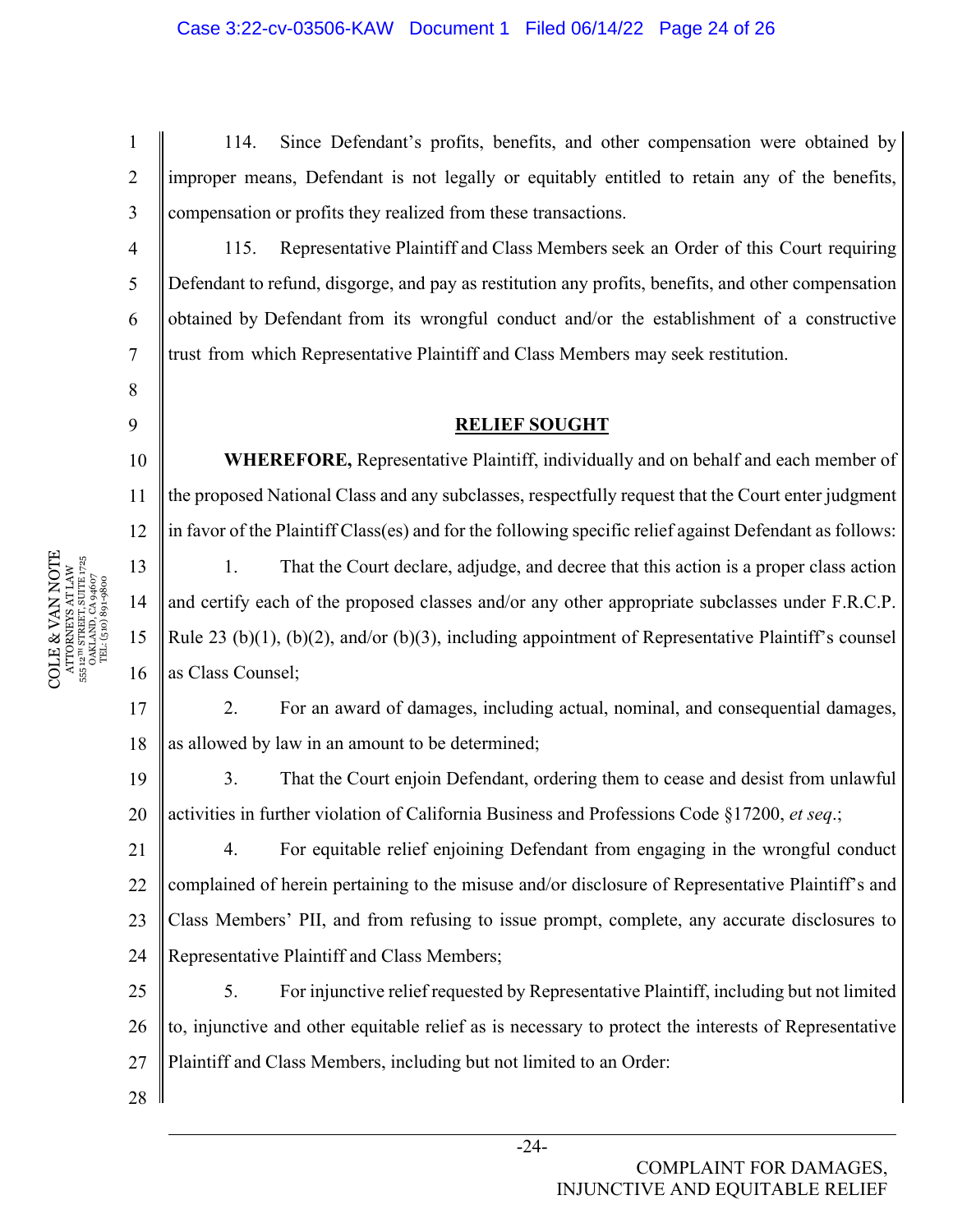114. Since Defendant's profits, benefits, and other compensation were obtained by improper means, Defendant is not legally or equitably entitled to retain any of the benefits, compensation or profits they realized from these transactions.

115. Representative Plaintiff and Class Members seek an Order of this Court requiring Defendant to refund, disgorge, and pay as restitution any profits, benefits, and other compensation obtained by Defendant from its wrongful conduct and/or the establishment of a constructive trust from which Representative Plaintiff and Class Members may seek restitution.

## **RELIEF SOUGHT**

10 11 12 **WHEREFORE,** Representative Plaintiff, individually and on behalf and each member of the proposed National Class and any subclasses, respectfully request that the Court enter judgment in favor of the Plaintiff Class(es) and for the following specific relief against Defendant as follows:

13 1. That the Court declare, adjudge, and decree that this action is a proper class action and certify each of the proposed classes and/or any other appropriate subclasses under F.R.C.P. Rule 23 (b)(1), (b)(2), and/or (b)(3), including appointment of Representative Plaintiff's counsel as Class Counsel;

17 18 2. For an award of damages, including actual, nominal, and consequential damages, as allowed by law in an amount to be determined;

19 20 3. That the Court enjoin Defendant, ordering them to cease and desist from unlawful activities in further violation of California Business and Professions Code §17200, *et seq*.;

21 22 23 24 4. For equitable relief enjoining Defendant from engaging in the wrongful conduct complained of herein pertaining to the misuse and/or disclosure of Representative Plaintiff's and Class Members' PII, and from refusing to issue prompt, complete, any accurate disclosures to Representative Plaintiff and Class Members;

25 26 27 5. For injunctive relief requested by Representative Plaintiff, including but not limited to, injunctive and other equitable relief as is necessary to protect the interests of Representative Plaintiff and Class Members, including but not limited to an Order:

 $\begin{array}{c} \text{COLE} \& \text{VAN NOTE} \\\text{ATTORNENS AT LAW} \\\text{s5: } \text{a}^{\text{un} \text{SRREITS}} \text{ SUTE} \text{ J75} \\\text{s5: } \text{a}^{\text{un} \text{SRREITS}} \text{ SUTE} \text{ J75} \\\text{s5: } \text{a}^{\text{un} \text{S}} \text{J81} \text{J81} \text{J83} \\\text{J72} \\\text{T2} \text{L} \text{(510)} \text{S0} \text{9} \text{4607} \end{array}$ COLE & VAN NOTE 555 12TH STREET, SUITE 1725 ATTORNEYS AT LAW OAKLAND, CA 94607 TEL: (510) 891-9800 14 15 16

28

1

2

3

4

5

6

7

8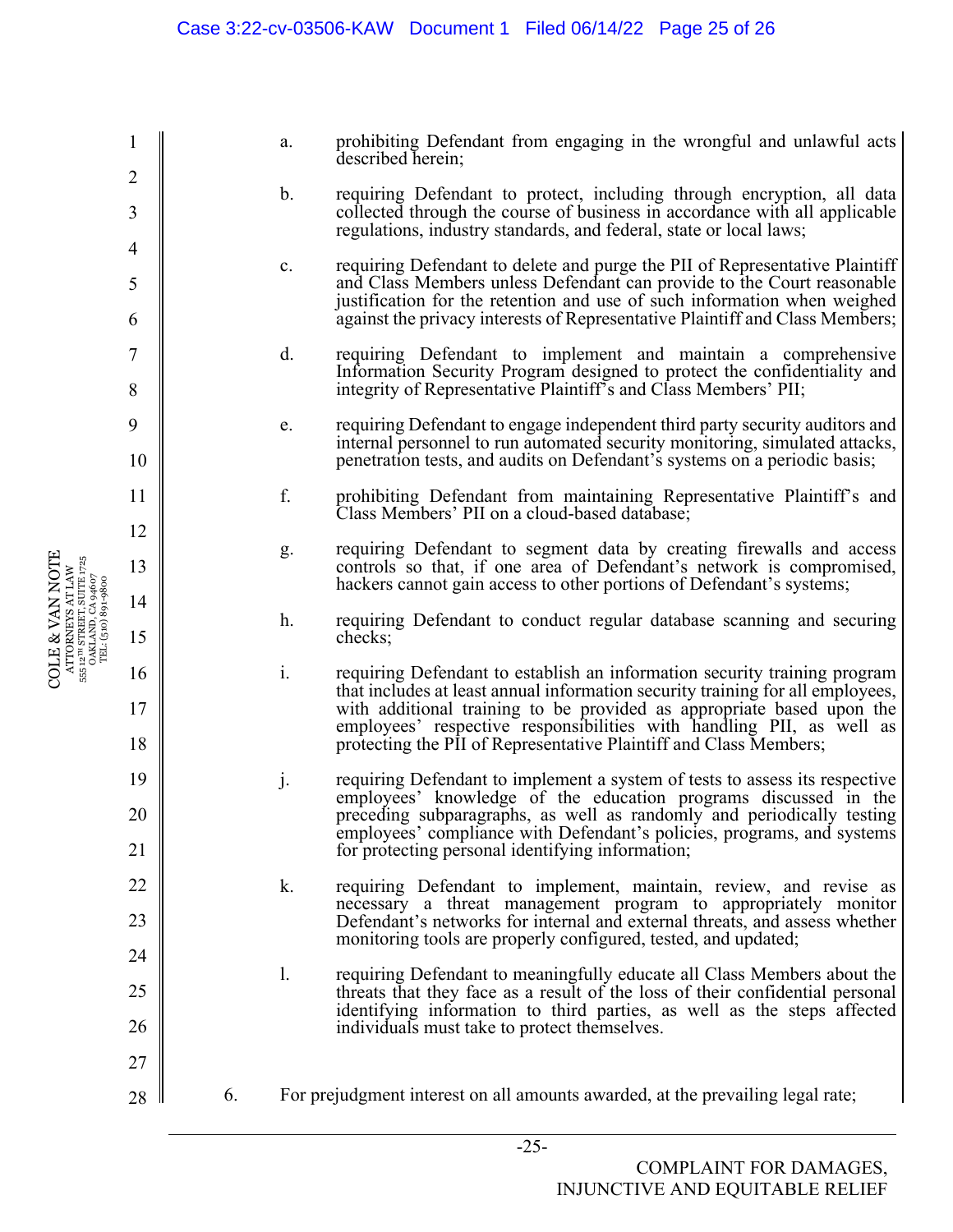1 2 3 4 5 6 7 8 9 10 11 12 13 14 15 16 17 18 19 20 21 22 23 24 25 26 27 28 a. prohibiting Defendant from engaging in the wrongful and unlawful acts described herein; b. requiring Defendant to protect, including through encryption, all data collected through the course of business in accordance with all applicable regulations, industry standards, and federal, state or local laws; c. requiring Defendant to delete and purge the PII of Representative Plaintiff and Class Members unless Defendant can provide to the Court reasonable justification for the retention and use of such information when weighed against the privacy interests of Representative Plaintiff and Class Members; d. requiring Defendant to implement and maintain a comprehensive Information Security Program designed to protect the confidentiality and integrity of Representative Plaintiff's and Class Members' PII; e. requiring Defendant to engage independent third party security auditors and internal personnel to run automated security monitoring, simulated attacks, penetration tests, and audits on Defendant's systems on a periodic basis; f. prohibiting Defendant from maintaining Representative Plaintiff's and Class Members' PII on a cloud-based database; g. requiring Defendant to segment data by creating firewalls and access controls so that, if one area of Defendant's network is compromised, hackers cannot gain access to other portions of Defendant's systems; h. requiring Defendant to conduct regular database scanning and securing checks; i. requiring Defendant to establish an information security training program that includes at least annual information security training for all employees, with additional training to be provided as appropriate based upon the employees' respective responsibilities with handling PII, as well as protecting the PII of Representative Plaintiff and Class Members; j. requiring Defendant to implement a system of tests to assess its respective employees' knowledge of the education programs discussed in the preceding subparagraphs, as well as randomly and periodically testing employees' compliance with Defendant's policies, programs, and systems for protecting personal identifying information; k. requiring Defendant to implement, maintain, review, and revise as necessary a threat management program to appropriately monitor Defendant's networks for internal and external threats, and assess whether monitoring tools are properly configured, tested, and updated; l. requiring Defendant to meaningfully educate all Class Members about the threats that they face as a result of the loss of their confidential personal identifying information to third parties, as well as the steps affected individuals must take to protect themselves. 6. For prejudgment interest on all amounts awarded, at the prevailing legal rate;

COLE & VAN NOTE ATTORNEYS AT LAW 555 12TH STREET, SUITE 1725 OAKLAND, CA 94607 TEL: (510) 891-9800

 $\begin{array}{c} {\rm ATTORNKYSATLAW} \\ 555\;12^{10}\;{\rm STREFL, SUTL\;}1725 \\ {\rm OAKLAND, CA\;94607} \\ {\rm TEL: (510)\;891\mbox{-}9800} \end{array}$ COLE & VAN NOTE